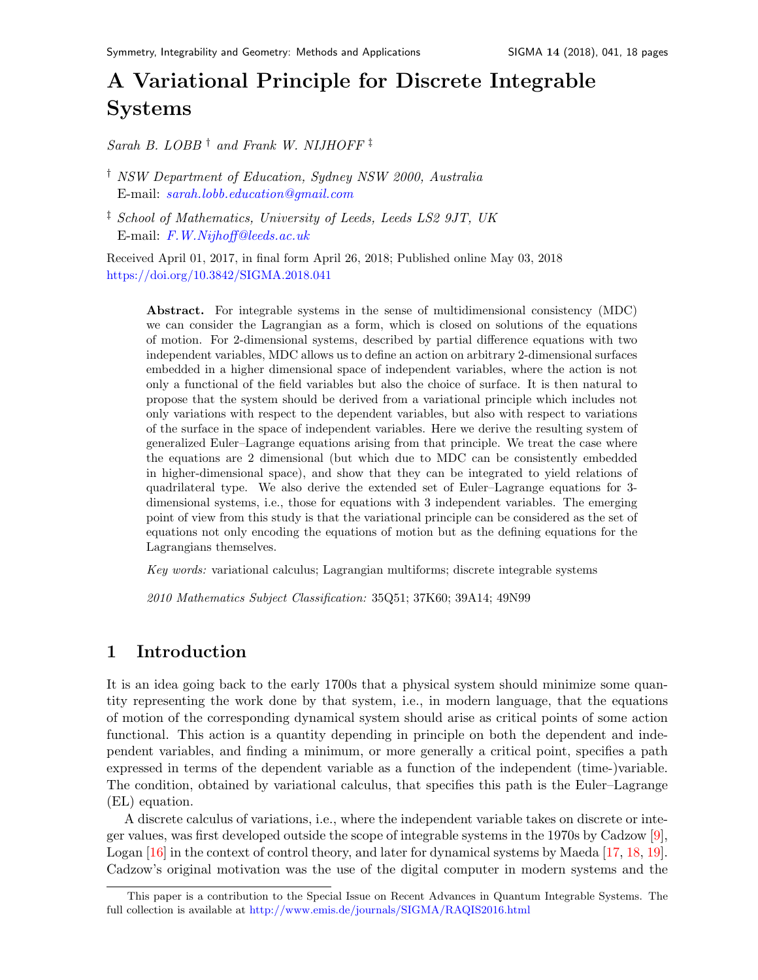# A Variational Principle for Discrete Integrable System[s](#page-0-0)

Sarah B. LOBB  $\dagger$  and Frank W. NIJHOFF  $\dagger$ 

† NSW Department of Education, Sydney NSW 2000, Australia E-mail: [sarah.lobb.education@gmail.com](mailto:sarah.lobb.education@gmail.com)

<sup>‡</sup> School of Mathematics, University of Leeds, Leeds LS2 9JT, UK E-mail: [F.W.Nijhoff@leeds.ac.uk](mailto:F.W.Nijhoff@leeds.ac.uk)

Received April 01, 2017, in final form April 26, 2018; Published online May 03, 2018 <https://doi.org/10.3842/SIGMA.2018.041>

Abstract. For integrable systems in the sense of multidimensional consistency (MDC) we can consider the Lagrangian as a form, which is closed on solutions of the equations of motion. For 2-dimensional systems, described by partial difference equations with two independent variables, MDC allows us to define an action on arbitrary 2-dimensional surfaces embedded in a higher dimensional space of independent variables, where the action is not only a functional of the field variables but also the choice of surface. It is then natural to propose that the system should be derived from a variational principle which includes not only variations with respect to the dependent variables, but also with respect to variations of the surface in the space of independent variables. Here we derive the resulting system of generalized Euler–Lagrange equations arising from that principle. We treat the case where the equations are 2 dimensional (but which due to MDC can be consistently embedded in higher-dimensional space), and show that they can be integrated to yield relations of quadrilateral type. We also derive the extended set of Euler–Lagrange equations for 3 dimensional systems, i.e., those for equations with 3 independent variables. The emerging point of view from this study is that the variational principle can be considered as the set of equations not only encoding the equations of motion but as the defining equations for the Lagrangians themselves.

Key words: variational calculus; Lagrangian multiforms; discrete integrable systems

2010 Mathematics Subject Classification: 35Q51; 37K60; 39A14; 49N99

# 1 Introduction

It is an idea going back to the early 1700s that a physical system should minimize some quantity representing the work done by that system, i.e., in modern language, that the equations of motion of the corresponding dynamical system should arise as critical points of some action functional. This action is a quantity depending in principle on both the dependent and independent variables, and finding a minimum, or more generally a critical point, specifies a path expressed in terms of the dependent variable as a function of the independent (time-)variable. The condition, obtained by variational calculus, that specifies this path is the Euler–Lagrange (EL) equation.

A discrete calculus of variations, i.e., where the independent variable takes on discrete or integer values, was first developed outside the scope of integrable systems in the 1970s by Cadzow [\[9\]](#page-17-0), Logan [\[16\]](#page-17-1) in the context of control theory, and later for dynamical systems by Maeda [\[17,](#page-17-2) [18,](#page-17-3) [19\]](#page-17-4). Cadzow's original motivation was the use of the digital computer in modern systems and the

<span id="page-0-0"></span>This paper is a contribution to the Special Issue on Recent Advances in Quantum Integrable Systems. The full collection is available at <http://www.emis.de/journals/SIGMA/RAQIS2016.html>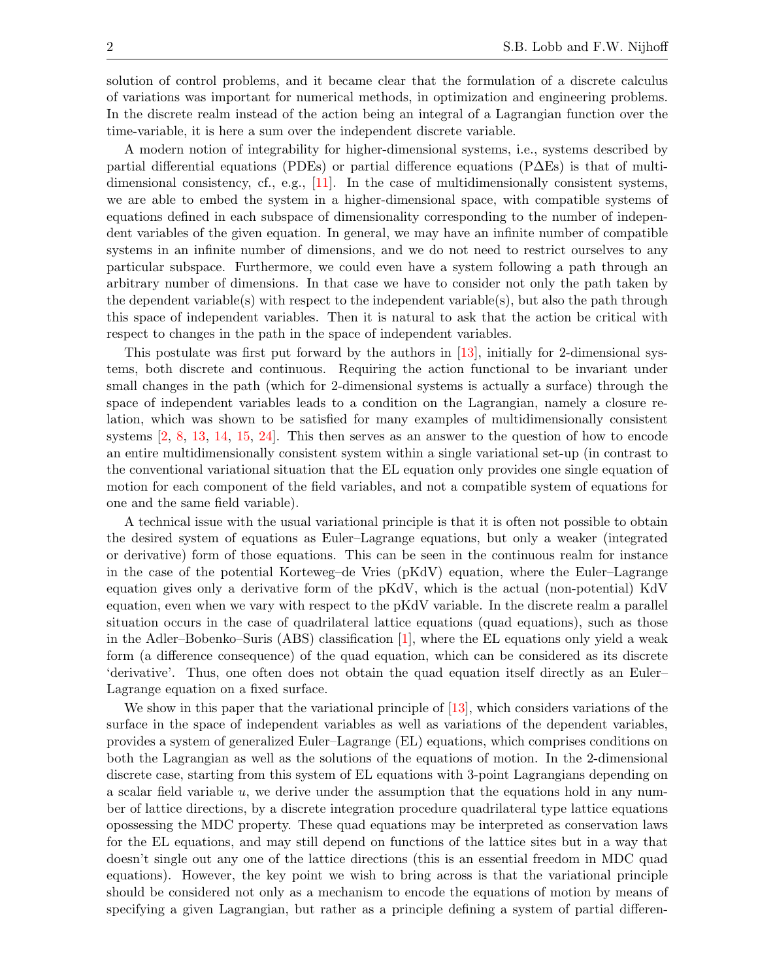solution of control problems, and it became clear that the formulation of a discrete calculus of variations was important for numerical methods, in optimization and engineering problems. In the discrete realm instead of the action being an integral of a Lagrangian function over the time-variable, it is here a sum over the independent discrete variable.

A modern notion of integrability for higher-dimensional systems, i.e., systems described by partial differential equations (PDEs) or partial difference equations (P∆Es) is that of multidimensional consistency, cf., e.g., [\[11\]](#page-17-5). In the case of multidimensionally consistent systems, we are able to embed the system in a higher-dimensional space, with compatible systems of equations defined in each subspace of dimensionality corresponding to the number of independent variables of the given equation. In general, we may have an infinite number of compatible systems in an infinite number of dimensions, and we do not need to restrict ourselves to any particular subspace. Furthermore, we could even have a system following a path through an arbitrary number of dimensions. In that case we have to consider not only the path taken by the dependent variable(s) with respect to the independent variable(s), but also the path through this space of independent variables. Then it is natural to ask that the action be critical with respect to changes in the path in the space of independent variables.

This postulate was first put forward by the authors in [\[13\]](#page-17-6), initially for 2-dimensional systems, both discrete and continuous. Requiring the action functional to be invariant under small changes in the path (which for 2-dimensional systems is actually a surface) through the space of independent variables leads to a condition on the Lagrangian, namely a closure relation, which was shown to be satisfied for many examples of multidimensionally consistent systems [\[2,](#page-16-0) [8,](#page-17-7) [13,](#page-17-6) [14,](#page-17-8) [15,](#page-17-9) [24\]](#page-17-10). This then serves as an answer to the question of how to encode an entire multidimensionally consistent system within a single variational set-up (in contrast to the conventional variational situation that the EL equation only provides one single equation of motion for each component of the field variables, and not a compatible system of equations for one and the same field variable).

A technical issue with the usual variational principle is that it is often not possible to obtain the desired system of equations as Euler–Lagrange equations, but only a weaker (integrated or derivative) form of those equations. This can be seen in the continuous realm for instance in the case of the potential Korteweg–de Vries (pKdV) equation, where the Euler–Lagrange equation gives only a derivative form of the pKdV, which is the actual (non-potential) KdV equation, even when we vary with respect to the pKdV variable. In the discrete realm a parallel situation occurs in the case of quadrilateral lattice equations (quad equations), such as those in the Adler–Bobenko–Suris (ABS) classification [\[1\]](#page-16-1), where the EL equations only yield a weak form (a difference consequence) of the quad equation, which can be considered as its discrete 'derivative'. Thus, one often does not obtain the quad equation itself directly as an Euler– Lagrange equation on a fixed surface.

We show in this paper that the variational principle of [\[13\]](#page-17-6), which considers variations of the surface in the space of independent variables as well as variations of the dependent variables, provides a system of generalized Euler–Lagrange (EL) equations, which comprises conditions on both the Lagrangian as well as the solutions of the equations of motion. In the 2-dimensional discrete case, starting from this system of EL equations with 3-point Lagrangians depending on a scalar field variable  $u$ , we derive under the assumption that the equations hold in any number of lattice directions, by a discrete integration procedure quadrilateral type lattice equations opossessing the MDC property. These quad equations may be interpreted as conservation laws for the EL equations, and may still depend on functions of the lattice sites but in a way that doesn't single out any one of the lattice directions (this is an essential freedom in MDC quad equations). However, the key point we wish to bring across is that the variational principle should be considered not only as a mechanism to encode the equations of motion by means of specifying a given Lagrangian, but rather as a principle defining a system of partial differen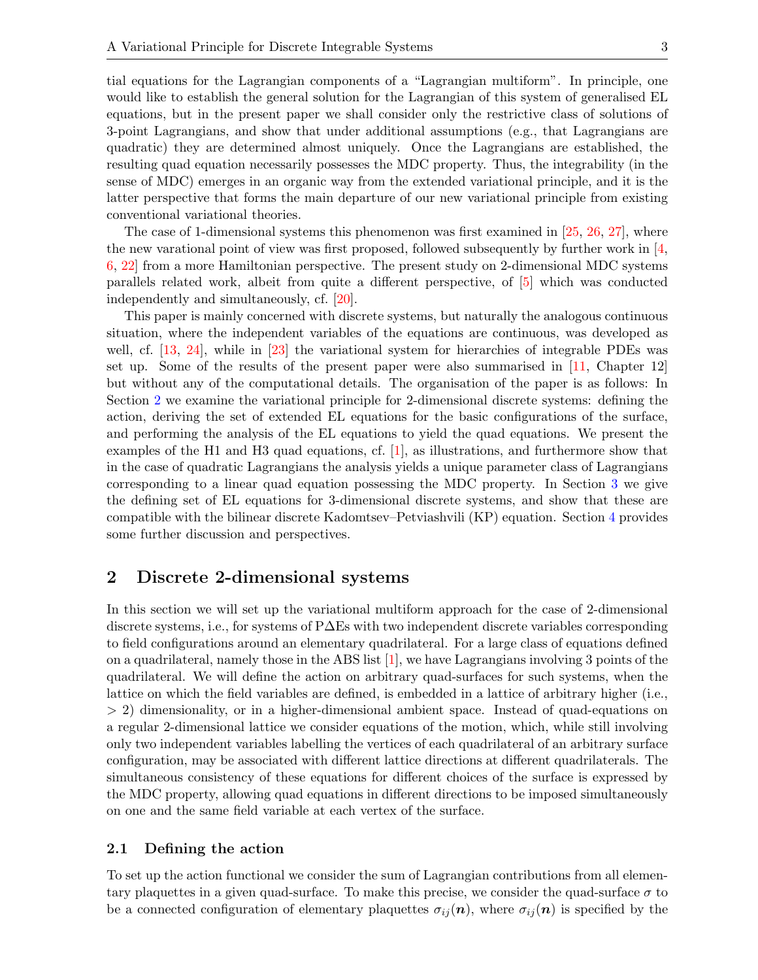tial equations for the Lagrangian components of a "Lagrangian multiform". In principle, one would like to establish the general solution for the Lagrangian of this system of generalised EL equations, but in the present paper we shall consider only the restrictive class of solutions of 3-point Lagrangians, and show that under additional assumptions (e.g., that Lagrangians are quadratic) they are determined almost uniquely. Once the Lagrangians are established, the resulting quad equation necessarily possesses the MDC property. Thus, the integrability (in the sense of MDC) emerges in an organic way from the extended variational principle, and it is the latter perspective that forms the main departure of our new variational principle from existing conventional variational theories.

The case of 1-dimensional systems this phenomenon was first examined in [\[25,](#page-17-11) [26,](#page-17-12) [27\]](#page-17-13), where the new varational point of view was first proposed, followed subsequently by further work in [\[4,](#page-16-2) [6,](#page-16-3) [22\]](#page-17-14) from a more Hamiltonian perspective. The present study on 2-dimensional MDC systems parallels related work, albeit from quite a different perspective, of [\[5\]](#page-16-4) which was conducted independently and simultaneously, cf. [\[20\]](#page-17-15).

This paper is mainly concerned with discrete systems, but naturally the analogous continuous situation, where the independent variables of the equations are continuous, was developed as well, cf. [\[13,](#page-17-6) [24\]](#page-17-10), while in [\[23\]](#page-17-16) the variational system for hierarchies of integrable PDEs was set up. Some of the results of the present paper were also summarised in [\[11,](#page-17-5) Chapter 12] but without any of the computational details. The organisation of the paper is as follows: In Section [2](#page-2-0) we examine the variational principle for 2-dimensional discrete systems: defining the action, deriving the set of extended EL equations for the basic configurations of the surface, and performing the analysis of the EL equations to yield the quad equations. We present the examples of the H1 and H3 quad equations, cf. [\[1\]](#page-16-1), as illustrations, and furthermore show that in the case of quadratic Lagrangians the analysis yields a unique parameter class of Lagrangians corresponding to a linear quad equation possessing the MDC property. In Section [3](#page-12-0) we give the defining set of EL equations for 3-dimensional discrete systems, and show that these are compatible with the bilinear discrete Kadomtsev–Petviashvili (KP) equation. Section [4](#page-15-0) provides some further discussion and perspectives.

# <span id="page-2-0"></span>2 Discrete 2-dimensional systems

In this section we will set up the variational multiform approach for the case of 2-dimensional discrete systems, i.e., for systems of P∆Es with two independent discrete variables corresponding to field configurations around an elementary quadrilateral. For a large class of equations defined on a quadrilateral, namely those in the ABS list [\[1\]](#page-16-1), we have Lagrangians involving 3 points of the quadrilateral. We will define the action on arbitrary quad-surfaces for such systems, when the lattice on which the field variables are defined, is embedded in a lattice of arbitrary higher (i.e., > 2) dimensionality, or in a higher-dimensional ambient space. Instead of quad-equations on a regular 2-dimensional lattice we consider equations of the motion, which, while still involving only two independent variables labelling the vertices of each quadrilateral of an arbitrary surface configuration, may be associated with different lattice directions at different quadrilaterals. The simultaneous consistency of these equations for different choices of the surface is expressed by the MDC property, allowing quad equations in different directions to be imposed simultaneously on one and the same field variable at each vertex of the surface.

## 2.1 Defining the action

To set up the action functional we consider the sum of Lagrangian contributions from all elementary plaquettes in a given quad-surface. To make this precise, we consider the quad-surface  $\sigma$  to be a connected configuration of elementary plaquettes  $\sigma_{ij}(n)$ , where  $\sigma_{ij}(n)$  is specified by the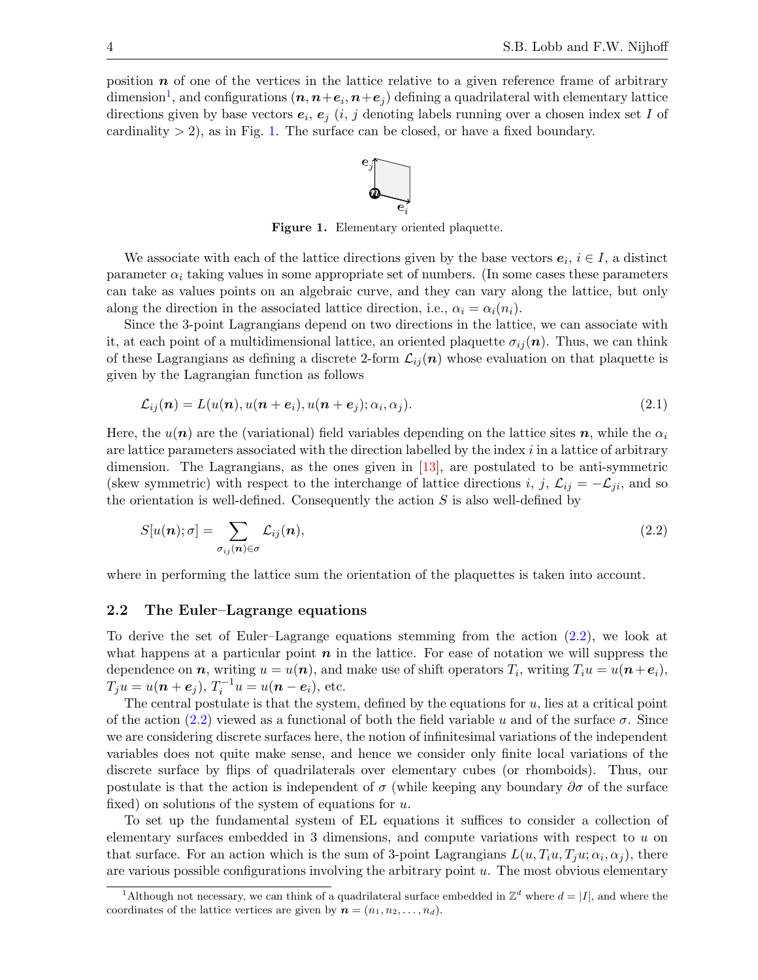position  $n$  of one of the vertices in the lattice relative to a given reference frame of arbitrary dimension<sup>[1](#page-3-0)</sup>, and configurations  $(n, n+e_i, n+e_j)$  defining a quadrilateral with elementary lattice directions given by base vectors  $e_i, e_j$  (i, j denoting labels running over a chosen index set I of cardinality  $> 2$ ), as in Fig. [1.](#page-3-1) The surface can be closed, or have a fixed boundary.

<span id="page-3-3"></span><span id="page-3-2"></span><span id="page-3-1"></span>

Figure 1. Elementary oriented plaquette.

We associate with each of the lattice directions given by the base vectors  $e_i$ ,  $i \in I$ , a distinct parameter  $\alpha_i$  taking values in some appropriate set of numbers. (In some cases these parameters can take as values points on an algebraic curve, and they can vary along the lattice, but only along the direction in the associated lattice direction, i.e.,  $\alpha_i = \alpha_i(n_i)$ .

Since the 3-point Lagrangians depend on two directions in the lattice, we can associate with it, at each point of a multidimensional lattice, an oriented plaquette  $\sigma_{ij}(n)$ . Thus, we can think of these Lagrangians as defining a discrete 2-form  $\mathcal{L}_{ij}(n)$  whose evaluation on that plaquette is given by the Lagrangian function as follows

$$
\mathcal{L}_{ij}(\boldsymbol{n}) = L(u(\boldsymbol{n}), u(\boldsymbol{n} + \boldsymbol{e}_i), u(\boldsymbol{n} + \boldsymbol{e}_j); \alpha_i, \alpha_j). \tag{2.1}
$$

Here, the  $u(n)$  are the (variational) field variables depending on the lattice sites n, while the  $\alpha_i$ are lattice parameters associated with the direction labelled by the index  $i$  in a lattice of arbitrary dimension. The Lagrangians, as the ones given in [\[13\]](#page-17-6), are postulated to be anti-symmetric (skew symmetric) with respect to the interchange of lattice directions i, j,  $\mathcal{L}_{ij} = -\mathcal{L}_{ji}$ , and so the orientation is well-defined. Consequently the action  $S$  is also well-defined by

$$
S[u(\boldsymbol{n});\sigma] = \sum_{\sigma_{ij}(\boldsymbol{n}) \in \sigma} \mathcal{L}_{ij}(\boldsymbol{n}),
$$
\n(2.2)

where in performing the lattice sum the orientation of the plaquettes is taken into account.

#### 2.2 The Euler–Lagrange equations

To derive the set of Euler–Lagrange equations stemming from the action [\(2.2\)](#page-3-2), we look at what happens at a particular point  $n$  in the lattice. For ease of notation we will suppress the dependence on  $n$ , writing  $u = u(n)$ , and make use of shift operators  $T_i$ , writing  $T_i u = u(n + e_i)$ ,  $T_j u = u(n + e_j), T_i^{-1} u = u(n - e_i),$  etc.

The central postulate is that the system, defined by the equations for  $u$ , lies at a critical point of the action [\(2.2\)](#page-3-2) viewed as a functional of both the field variable u and of the surface  $\sigma$ . Since we are considering discrete surfaces here, the notion of infinitesimal variations of the independent variables does not quite make sense, and hence we consider only finite local variations of the discrete surface by flips of quadrilaterals over elementary cubes (or rhomboids). Thus, our postulate is that the action is independent of  $\sigma$  (while keeping any boundary  $\partial \sigma$  of the surface fixed) on solutions of the system of equations for  $u$ .

To set up the fundamental system of EL equations it suffices to consider a collection of elementary surfaces embedded in 3 dimensions, and compute variations with respect to u on that surface. For an action which is the sum of 3-point Lagrangians  $L(u, T_iu, T_ju; \alpha_i, \alpha_j)$ , there are various possible configurations involving the arbitrary point  $u$ . The most obvious elementary

<span id="page-3-0"></span><sup>&</sup>lt;sup>1</sup>Although not necessary, we can think of a quadrilateral surface embedded in  $\mathbb{Z}^d$  where  $d = |I|$ , and where the coordinates of the lattice vertices are given by  $\mathbf{n} = (n_1, n_2, \ldots, n_d)$ .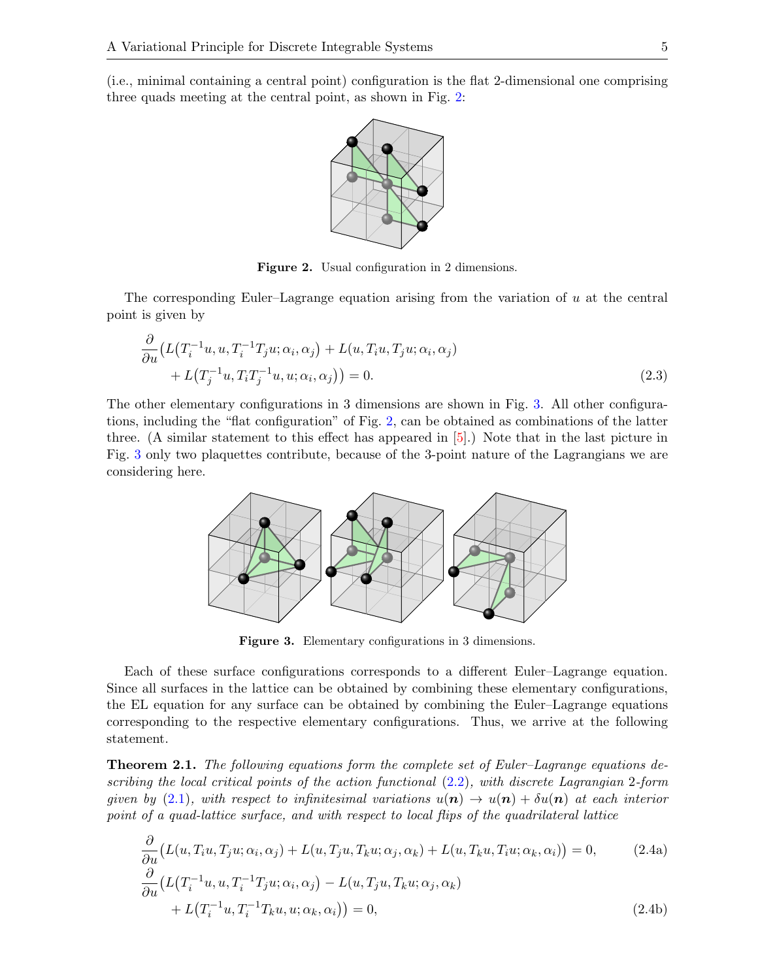(i.e., minimal containing a central point) configuration is the flat 2-dimensional one comprising three quads meeting at the central point, as shown in Fig. [2:](#page-4-0)



<span id="page-4-4"></span><span id="page-4-0"></span>Figure 2. Usual configuration in 2 dimensions.

The corresponding Euler–Lagrange equation arising from the variation of u at the central point is given by

$$
\frac{\partial}{\partial u} \left( L(T_i^{-1}u, u, T_i^{-1}T_ju; \alpha_i, \alpha_j) + L(u, T_iu, T_ju; \alpha_i, \alpha_j) + L(T_j^{-1}u, T_iT_j^{-1}u, u; \alpha_i, \alpha_j) \right) = 0.
$$
\n(2.3)

The other elementary configurations in 3 dimensions are shown in Fig. [3.](#page-4-1) All other configurations, including the "flat configuration" of Fig. [2,](#page-4-0) can be obtained as combinations of the latter three. (A similar statement to this effect has appeared in [\[5\]](#page-16-4).) Note that in the last picture in Fig. [3](#page-4-1) only two plaquettes contribute, because of the 3-point nature of the Lagrangians we are considering here.



<span id="page-4-5"></span><span id="page-4-3"></span><span id="page-4-2"></span><span id="page-4-1"></span>Figure 3. Elementary configurations in 3 dimensions.

Each of these surface configurations corresponds to a different Euler–Lagrange equation. Since all surfaces in the lattice can be obtained by combining these elementary configurations, the EL equation for any surface can be obtained by combining the Euler–Lagrange equations corresponding to the respective elementary configurations. Thus, we arrive at the following statement.

Theorem 2.1. The following equations form the complete set of Euler–Lagrange equations describing the local critical points of the action functional [\(2.2\)](#page-3-2), with discrete Lagrangian 2-form given by [\(2.1\)](#page-3-3), with respect to infinitesimal variations  $u(\mathbf{n}) \to u(\mathbf{n}) + \delta u(\mathbf{n})$  at each interior point of a quad-lattice surface, and with respect to local flips of the quadrilateral lattice

$$
\frac{\partial}{\partial u} \big( L(u, T_i u, T_j u; \alpha_i, \alpha_j) + L(u, T_j u, T_k u; \alpha_j, \alpha_k) + L(u, T_k u, T_i u; \alpha_k, \alpha_i) \big) = 0,
$$
\n(2.4a)  
\n
$$
\frac{\partial}{\partial u} \big( L(T_i^{-1} u, u, T_i^{-1} T_j u; \alpha_i, \alpha_j) - L(u, T_j u, T_k u; \alpha_j, \alpha_k) + L(T_i^{-1} u, T_i^{-1} T_k u, u; \alpha_k, \alpha_i) \big) = 0,
$$
\n(2.4b)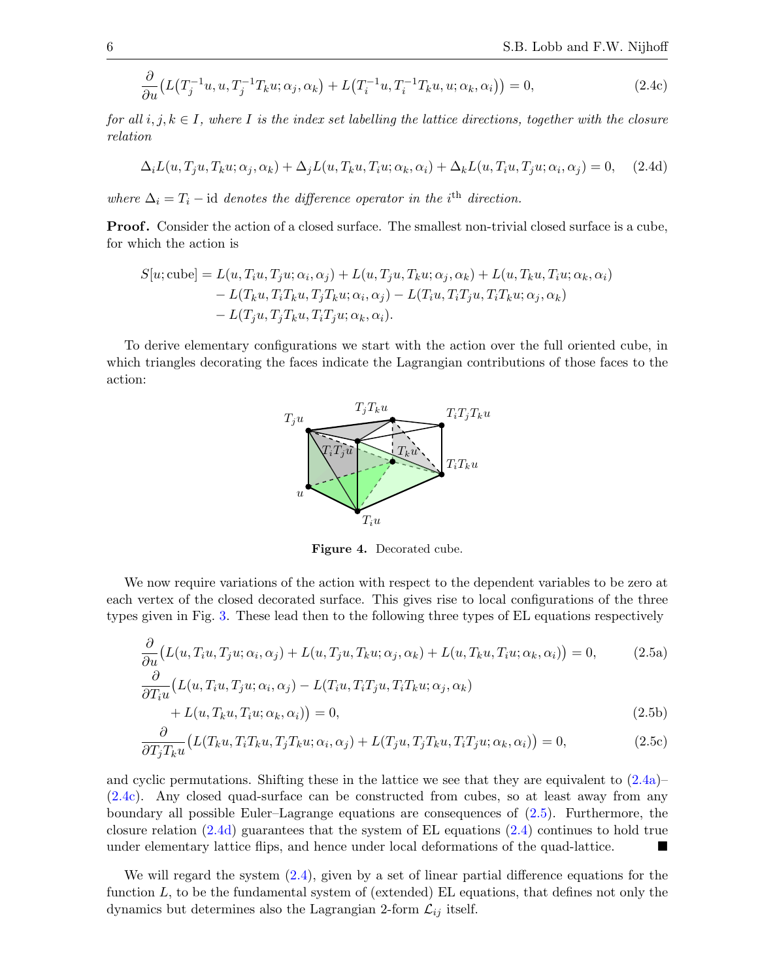$$
\frac{\partial}{\partial u}\big(L\big(T_j^{-1}u, u, T_j^{-1}T_ku; \alpha_j, \alpha_k\big) + L\big(T_i^{-1}u, T_i^{-1}T_ku, u; \alpha_k, \alpha_i\big)\big) = 0,\tag{2.4c}
$$

for all i, j,  $k \in I$ , where I is the index set labelling the lattice directions, together with the closure relation

$$
\Delta_i L(u, T_j u, T_k u; \alpha_j, \alpha_k) + \Delta_j L(u, T_k u, T_i u; \alpha_k, \alpha_i) + \Delta_k L(u, T_i u, T_j u; \alpha_i, \alpha_j) = 0, \quad (2.4d)
$$

where  $\Delta_i = T_i - id$  denotes the difference operator in the i<sup>th</sup> direction.

**Proof.** Consider the action of a closed surface. The smallest non-trivial closed surface is a cube, for which the action is

$$
S[u; cube] = L(u, T_iu, T_ju; \alpha_i, \alpha_j) + L(u, T_ju, T_ku; \alpha_j, \alpha_k) + L(u, T_ku, T_iu; \alpha_k, \alpha_i)
$$
  
- L(T\_ku, T\_iT\_ku, T\_jT\_ku; \alpha\_i, \alpha\_j) - L(T\_iu, T\_iT\_ju, T\_iT\_ku; \alpha\_j, \alpha\_k)  
- L(T\_ju, T\_jT\_ku, T\_iT\_ju; \alpha\_k, \alpha\_i).

To derive elementary configurations we start with the action over the full oriented cube, in which triangles decorating the faces indicate the Lagrangian contributions of those faces to the action:

<span id="page-5-2"></span><span id="page-5-0"></span>

<span id="page-5-1"></span>Figure 4. Decorated cube.

We now require variations of the action with respect to the dependent variables to be zero at each vertex of the closed decorated surface. This gives rise to local configurations of the three types given in Fig. [3.](#page-4-1) These lead then to the following three types of EL equations respectively

$$
\frac{\partial}{\partial u}\big(L(u, T_i u, T_j u; \alpha_i, \alpha_j) + L(u, T_j u, T_k u; \alpha_j, \alpha_k) + L(u, T_k u, T_i u; \alpha_k, \alpha_i)\big) = 0,\tag{2.5a}
$$

$$
\frac{\partial}{\partial T_i u} \big( L(u, T_i u, T_j u; \alpha_i, \alpha_j) - L(T_i u, T_i T_j u, T_i T_k u; \alpha_j, \alpha_k) + L(u, T_k u, T_i u; \alpha_k, \alpha_i) \big) = 0,
$$
\n(2.5b)

$$
\frac{\partial}{\partial T_j T_k u} \big( L(T_k u, T_i T_k u, T_j T_k u; \alpha_i, \alpha_j) + L(T_j u, T_j T_k u, T_i T_j u; \alpha_k, \alpha_i) \big) = 0,\tag{2.5c}
$$

and cyclic permutations. Shifting these in the lattice we see that they are equivalent to  $(2.4a)$ [\(2.4c\)](#page-5-0). Any closed quad-surface can be constructed from cubes, so at least away from any boundary all possible Euler–Lagrange equations are consequences of [\(2.5\)](#page-5-1). Furthermore, the closure relation [\(2.4d\)](#page-5-2) guarantees that the system of EL equations [\(2.4\)](#page-4-3) continues to hold true under elementary lattice flips, and hence under local deformations of the quad-lattice.

We will regard the system  $(2.4)$ , given by a set of linear partial difference equations for the function  $L$ , to be the fundamental system of (extended) EL equations, that defines not only the dynamics but determines also the Lagrangian 2-form  $\mathcal{L}_{ij}$  itself.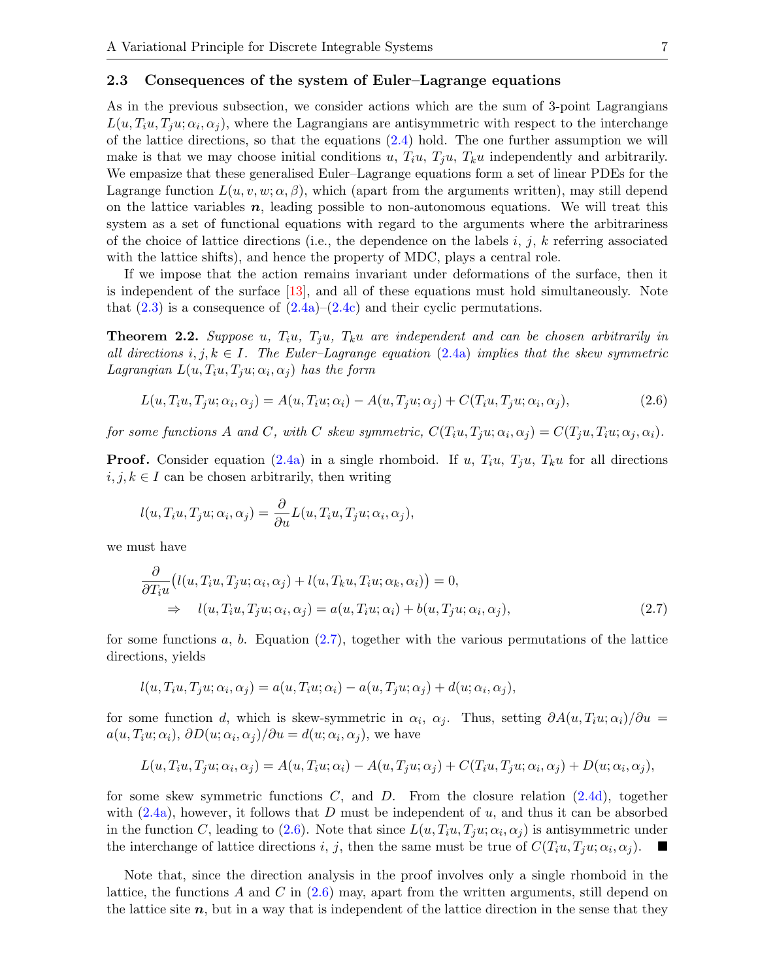#### <span id="page-6-2"></span>2.3 Consequences of the system of Euler–Lagrange equations

As in the previous subsection, we consider actions which are the sum of 3-point Lagrangians  $L(u, T_iu, T_ju; \alpha_i, \alpha_j)$ , where the Lagrangians are antisymmetric with respect to the interchange of the lattice directions, so that the equations [\(2.4\)](#page-4-3) hold. The one further assumption we will make is that we may choose initial conditions u,  $T_iu$ ,  $T_iu$ ,  $T_ku$  independently and arbitrarily. We empasize that these generalised Euler–Lagrange equations form a set of linear PDEs for the Lagrange function  $L(u, v, w; \alpha, \beta)$ , which (apart from the arguments written), may still depend on the lattice variables  $n$ , leading possible to non-autonomous equations. We will treat this system as a set of functional equations with regard to the arguments where the arbitrariness of the choice of lattice directions (i.e., the dependence on the labels  $i, j, k$  referring associated with the lattice shifts), and hence the property of MDC, plays a central role.

If we impose that the action remains invariant under deformations of the surface, then it is independent of the surface [\[13\]](#page-17-6), and all of these equations must hold simultaneously. Note that  $(2.3)$  is a consequence of  $(2.4a)-(2.4c)$  $(2.4a)-(2.4c)$  $(2.4a)-(2.4c)$  and their cyclic permutations.

**Theorem 2.2.** Suppose u,  $T_i u$ ,  $T_i u$ ,  $T_k u$  are independent and can be chosen arbitrarily in all directions  $i, j, k \in I$ . The Euler-Lagrange equation [\(2.4a\)](#page-4-2) implies that the skew symmetric Lagrangian  $L(u, T_iu, T_ju; \alpha_i, \alpha_j)$  has the form

<span id="page-6-1"></span>
$$
L(u, T_i u, T_j u; \alpha_i, \alpha_j) = A(u, T_i u; \alpha_i) - A(u, T_j u; \alpha_j) + C(T_i u, T_j u; \alpha_i, \alpha_j),
$$
\n(2.6)

for some functions A and C, with C skew symmetric,  $C(T_iu, T_ju; \alpha_i, \alpha_j) = C(T_ju, T_iu; \alpha_j, \alpha_i)$ .

**Proof.** Consider equation [\(2.4a\)](#page-4-2) in a single rhomboid. If u,  $T_iu$ ,  $T_ju$ ,  $T_ku$  for all directions  $i, j, k \in I$  can be chosen arbitrarily, then writing

$$
l(u, T_i u, T_j u; \alpha_i, \alpha_j) = \frac{\partial}{\partial u} L(u, T_i u, T_j u; \alpha_i, \alpha_j),
$$

we must have

<span id="page-6-0"></span>
$$
\frac{\partial}{\partial T_i u} \big( l(u, T_i u, T_j u; \alpha_i, \alpha_j) + l(u, T_k u, T_i u; \alpha_k, \alpha_i) \big) = 0, \n\Rightarrow l(u, T_i u, T_j u; \alpha_i, \alpha_j) = a(u, T_i u; \alpha_i) + b(u, T_j u; \alpha_i, \alpha_j),
$$
\n(2.7)

for some functions  $a, b$ . Equation [\(2.7\)](#page-6-0), together with the various permutations of the lattice directions, yields

$$
l(u, T_iu, T_ju; \alpha_i, \alpha_j) = a(u, T_iu; \alpha_i) - a(u, T_ju; \alpha_j) + d(u; \alpha_i, \alpha_j),
$$

for some function d, which is skew-symmetric in  $\alpha_i$ ,  $\alpha_j$ . Thus, setting  $\partial A(u, T_i u; \alpha_i)/\partial u =$  $a(u, T_iu; \alpha_i), \, \partial D(u; \alpha_i, \alpha_j) / \partial u = d(u; \alpha_i, \alpha_j),$  we have

$$
L(u,T_iu,T_ju;\alpha_i,\alpha_j) = A(u,T_iu;\alpha_i) - A(u,T_ju;\alpha_j) + C(T_iu,T_ju;\alpha_i,\alpha_j) + D(u;\alpha_i,\alpha_j),
$$

for some skew symmetric functions  $C$ , and  $D$ . From the closure relation  $(2.4d)$ , together with  $(2.4a)$ , however, it follows that D must be independent of u, and thus it can be absorbed in the function C, leading to [\(2.6\)](#page-6-1). Note that since  $L(u, T_iu, T_ju; \alpha_i, \alpha_j)$  is antisymmetric under the interchange of lattice directions i, j, then the same must be true of  $C(T_i u, T_j u; \alpha_i, \alpha_j)$ .

Note that, since the direction analysis in the proof involves only a single rhomboid in the lattice, the functions A and C in  $(2.6)$  may, apart from the written arguments, still depend on the lattice site  $n$ , but in a way that is independent of the lattice direction in the sense that they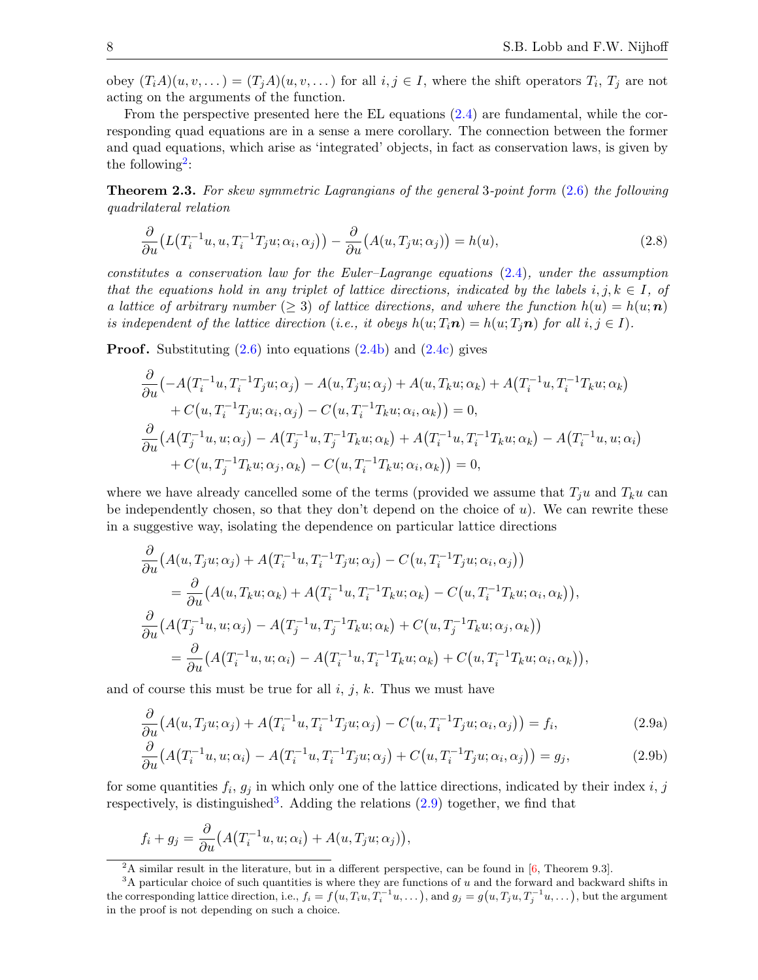obey  $(T_i A)(u, v, \dots) = (T_j A)(u, v, \dots)$  for all  $i, j \in I$ , where the shift operators  $T_i$ ,  $T_j$  are not acting on the arguments of the function.

From the perspective presented here the EL equations [\(2.4\)](#page-4-3) are fundamental, while the corresponding quad equations are in a sense a mere corollary. The connection between the former and quad equations, which arise as 'integrated' objects, in fact as conservation laws, is given by the following<sup>[2](#page-7-0)</sup>:

Theorem 2.3. For skew symmetric Lagrangians of the general 3-point form [\(2.6\)](#page-6-1) the following quadrilateral relation

<span id="page-7-3"></span>
$$
\frac{\partial}{\partial u}\big(L\big(T_i^{-1}u, u, T_i^{-1}T_ju; \alpha_i, \alpha_j\big)\big) - \frac{\partial}{\partial u}\big(A(u, T_ju; \alpha_j)\big) = h(u),\tag{2.8}
$$

constitutes a conservation law for the Euler–Lagrange equations  $(2.4)$ , under the assumption that the equations hold in any triplet of lattice directions, indicated by the labels  $i, j, k \in I$ , of a lattice of arbitrary number ( $\geq$  3) of lattice directions, and where the function  $h(u) = h(u; n)$ is independent of the lattice direction (i.e., it obeys  $h(u; T_i \mathbf{n}) = h(u; T_j \mathbf{n})$  for all  $i, j \in I$ ).

**Proof.** Substituting  $(2.6)$  into equations  $(2.4b)$  and  $(2.4c)$  gives

$$
\frac{\partial}{\partial u} \left( -A \left( T_i^{-1} u, T_i^{-1} T_j u; \alpha_j \right) - A(u, T_j u; \alpha_j) + A(u, T_k u; \alpha_k) + A \left( T_i^{-1} u, T_i^{-1} T_k u; \alpha_k \right) \right. \\
\left. + C \left( u, T_i^{-1} T_j u; \alpha_i, \alpha_j \right) - C \left( u, T_i^{-1} T_k u; \alpha_i, \alpha_k \right) \right) = 0, \\
\frac{\partial}{\partial u} \left( A \left( T_j^{-1} u, u; \alpha_j \right) - A \left( T_j^{-1} u, T_j^{-1} T_k u; \alpha_k \right) + A \left( T_i^{-1} u, T_i^{-1} T_k u; \alpha_k \right) - A \left( T_i^{-1} u, u; \alpha_i \right) \right. \\
\left. + C \left( u, T_j^{-1} T_k u; \alpha_j, \alpha_k \right) - C \left( u, T_i^{-1} T_k u; \alpha_i, \alpha_k \right) \right) = 0,
$$

where we have already cancelled some of the terms (provided we assume that  $T_i u$  and  $T_k u$  can be independently chosen, so that they don't depend on the choice of  $u$ ). We can rewrite these in a suggestive way, isolating the dependence on particular lattice directions

$$
\frac{\partial}{\partial u} \left( A(u, T_j u; \alpha_j) + A(T_i^{-1} u, T_i^{-1} T_j u; \alpha_j) - C(u, T_i^{-1} T_j u; \alpha_i, \alpha_j) \right)
$$
\n
$$
= \frac{\partial}{\partial u} \left( A(u, T_k u; \alpha_k) + A(T_i^{-1} u, T_i^{-1} T_k u; \alpha_k) - C(u, T_i^{-1} T_k u; \alpha_i, \alpha_k) \right),
$$
\n
$$
\frac{\partial}{\partial u} \left( A(T_j^{-1} u, u; \alpha_j) - A(T_j^{-1} u, T_j^{-1} T_k u; \alpha_k) + C(u, T_j^{-1} T_k u; \alpha_j, \alpha_k) \right)
$$
\n
$$
= \frac{\partial}{\partial u} \left( A(T_i^{-1} u, u; \alpha_i) - A(T_i^{-1} u, T_i^{-1} T_k u; \alpha_k) + C(u, T_i^{-1} T_k u; \alpha_i, \alpha_k) \right),
$$

and of course this must be true for all  $i, j, k$ . Thus we must have

<span id="page-7-2"></span>
$$
\frac{\partial}{\partial u}\big(A(u,T_ju;\alpha_j) + A\big(T_i^{-1}u,T_i^{-1}T_ju;\alpha_j\big) - C\big(u,T_i^{-1}T_ju;\alpha_i,\alpha_j\big)\big) = f_i,\tag{2.9a}
$$

$$
\frac{\partial}{\partial u}\big(A\big(T_i^{-1}u,u;\alpha_i\big)-A\big(T_i^{-1}u,T_i^{-1}T_ju;\alpha_j\big)+C\big(u,T_i^{-1}T_ju;\alpha_i,\alpha_j\big)\big)=g_j,\tag{2.9b}
$$

for some quantities  $f_i, g_j$  in which only one of the lattice directions, indicated by their index i, j respectively, is distinguished<sup>[3](#page-7-1)</sup>. Adding the relations  $(2.9)$  together, we find that

$$
f_i + g_j = \frac{\partial}{\partial u} \big( A(T_i^{-1}u, u; \alpha_i) + A(u, T_ju; \alpha_j) \big),
$$

<span id="page-7-1"></span><span id="page-7-0"></span><sup>&</sup>lt;sup>2</sup>A similar result in the literature, but in a different perspective, can be found in  $[6,$  Theorem 9.3].

 $3A$  particular choice of such quantities is where they are functions of u and the forward and backward shifts in the corresponding lattice direction, i.e.,  $f_i = f(u, T_i u, T_i^{-1} u, \dots)$ , and  $g_j = g(u, T_j u, T_j^{-1} u, \dots)$ , but the argument in the proof is not depending on such a choice.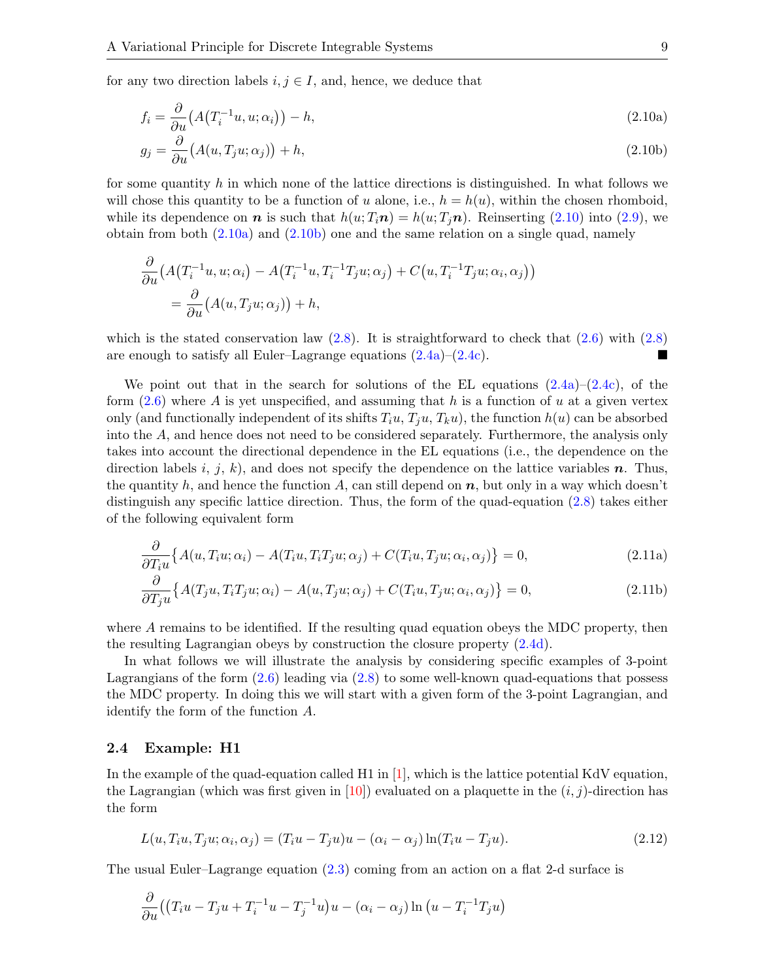for any two direction labels  $i, j \in I$ , and, hence, we deduce that

<span id="page-8-2"></span><span id="page-8-1"></span><span id="page-8-0"></span>
$$
f_i = \frac{\partial}{\partial u} \left( A \left( T_i^{-1} u, u; \alpha_i \right) \right) - h,\tag{2.10a}
$$

$$
g_j = \frac{\partial}{\partial u} (A(u, T_j u; \alpha_j)) + h,
$$
\n(2.10b)

for some quantity  $h$  in which none of the lattice directions is distinguished. In what follows we will chose this quantity to be a function of u alone, i.e.,  $h = h(u)$ , within the chosen rhomboid, while its dependence on **n** is such that  $h(u; T_i\mathbf{n}) = h(u; T_i\mathbf{n})$ . Reinserting [\(2.10\)](#page-8-0) into [\(2.9\)](#page-7-2), we obtain from both  $(2.10a)$  and  $(2.10b)$  one and the same relation on a single quad, namely

$$
\frac{\partial}{\partial u} \left( A(T_i^{-1}u, u; \alpha_i) - A(T_i^{-1}u, T_i^{-1}T_ju; \alpha_j) + C(u, T_i^{-1}T_ju; \alpha_i, \alpha_j) \right)
$$
  
= 
$$
\frac{\partial}{\partial u} (A(u, T_ju; \alpha_j)) + h,
$$

which is the stated conservation law  $(2.8)$ . It is straightforward to check that  $(2.6)$  with  $(2.8)$ are enough to satisfy all Euler–Lagrange equations [\(2.4a\)](#page-4-2)–[\(2.4c\)](#page-5-0).

We point out that in the search for solutions of the EL equations  $(2.4a)-(2.4c)$  $(2.4a)-(2.4c)$  $(2.4a)-(2.4c)$ , of the form  $(2.6)$  where A is yet unspecified, and assuming that h is a function of u at a given vertex only (and functionally independent of its shifts  $T_iu, T_iu, T_ku$ ), the function  $h(u)$  can be absorbed into the A, and hence does not need to be considered separately. Furthermore, the analysis only takes into account the directional dependence in the EL equations (i.e., the dependence on the direction labels i, j, k), and does not specify the dependence on the lattice variables n. Thus, the quantity h, and hence the function A, can still depend on  $n$ , but only in a way which doesn't distinguish any specific lattice direction. Thus, the form of the quad-equation [\(2.8\)](#page-7-3) takes either of the following equivalent form

<span id="page-8-4"></span>
$$
\frac{\partial}{\partial T_i u} \{ A(u, T_i u; \alpha_i) - A(T_i u, T_i T_j u; \alpha_j) + C(T_i u, T_j u; \alpha_i, \alpha_j) \} = 0,
$$
\n(2.11a)

<span id="page-8-5"></span>
$$
\frac{\partial}{\partial T_j u} \{ A(T_j u, T_i T_j u; \alpha_i) - A(u, T_j u; \alpha_j) + C(T_i u, T_j u; \alpha_i, \alpha_j) \} = 0,
$$
\n(2.11b)

where A remains to be identified. If the resulting quad equation obeys the MDC property, then the resulting Lagrangian obeys by construction the closure property [\(2.4d\)](#page-5-2).

In what follows we will illustrate the analysis by considering specific examples of 3-point Lagrangians of the form  $(2.6)$  leading via  $(2.8)$  to some well-known quad-equations that possess the MDC property. In doing this we will start with a given form of the 3-point Lagrangian, and identify the form of the function A.

## 2.4 Example: H1

In the example of the quad-equation called H1 in [\[1\]](#page-16-1), which is the lattice potential KdV equation, the Lagrangian (which was first given in [\[10\]](#page-17-17)) evaluated on a plaquette in the  $(i, j)$ -direction has the form

<span id="page-8-3"></span>
$$
L(u, T_i u, T_j u; \alpha_i, \alpha_j) = (T_i u - T_j u)u - (\alpha_i - \alpha_j) \ln(T_i u - T_j u). \tag{2.12}
$$

The usual Euler–Lagrange equation [\(2.3\)](#page-4-4) coming from an action on a flat 2-d surface is

$$
\frac{\partial}{\partial u}((T_iu - T_ju + T_i^{-1}u - T_j^{-1}u)u - (\alpha_i - \alpha_j)\ln(u - T_i^{-1}T_ju)
$$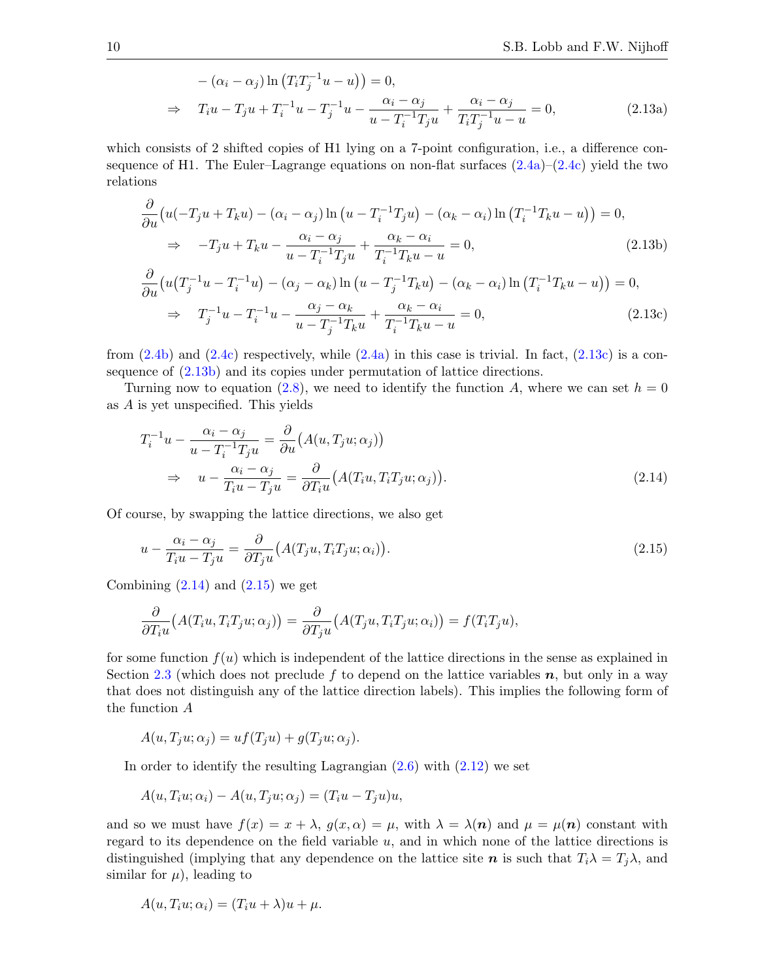$$
-(\alpha_i - \alpha_j) \ln (T_i T_j^{-1} u - u)) = 0,
$$
  
\n
$$
\Rightarrow T_i u - T_j u + T_i^{-1} u - T_j^{-1} u - \frac{\alpha_i - \alpha_j}{u - T_i^{-1} T_j u} + \frac{\alpha_i - \alpha_j}{T_i T_j^{-1} u - u} = 0,
$$
 (2.13a)

which consists of 2 shifted copies of H1 lying on a 7-point configuration, i.e., a difference consequence of H1. The Euler–Lagrange equations on non-flat surfaces  $(2.4a)-(2.4c)$  $(2.4a)-(2.4c)$  $(2.4a)-(2.4c)$  yield the two relations

<span id="page-9-4"></span><span id="page-9-1"></span><span id="page-9-0"></span>−1

$$
\frac{\partial}{\partial u}\left(u(-T_ju+T_ku)-(\alpha_i-\alpha_j)\ln\left(u-T_i^{-1}T_ju\right)-(\alpha_k-\alpha_i)\ln\left(T_i^{-1}T_ku-u\right)\right)=0,
$$
\n
$$
\Rightarrow -T_ju+T_ku-\frac{\alpha_i-\alpha_j}{u-T_i^{-1}T_ju}+\frac{\alpha_k-\alpha_i}{T_i^{-1}T_ku-u}=0,
$$
\n(2.13b)\n
$$
\frac{\partial}{\partial u}\left(u(T_j^{-1}u-T_i^{-1}u)-(\alpha_j-\alpha_k)\ln\left(u-T_j^{-1}T_ku\right)-(\alpha_k-\alpha_i)\ln\left(T_i^{-1}T_ku-u\right)\right)=0,
$$
\n(2.13c)

$$
\Rightarrow T_j^{-1}u - T_i^{-1}u - \frac{\alpha_j - \alpha_k}{u - T_j^{-1}T_ku} + \frac{\alpha_k - \alpha_i}{T_i^{-1}T_ku - u} = 0,
$$
\n(2.13c)

from  $(2.4b)$  and  $(2.4c)$  respectively, while  $(2.4a)$  in this case is trivial. In fact,  $(2.13c)$  is a consequence of [\(2.13b\)](#page-9-1) and its copies under permutation of lattice directions.

Turning now to equation [\(2.8\)](#page-7-3), we need to identify the function A, where we can set  $h = 0$ as A is yet unspecified. This yields

<span id="page-9-2"></span>
$$
T_i^{-1}u - \frac{\alpha_i - \alpha_j}{u - T_i^{-1}T_ju} = \frac{\partial}{\partial u}(A(u, T_j u; \alpha_j))
$$
  
\n
$$
\Rightarrow u - \frac{\alpha_i - \alpha_j}{T_i u - T_j u} = \frac{\partial}{\partial T_i u}(A(T_i u, T_i T_j u; \alpha_j)).
$$
\n(2.14)

Of course, by swapping the lattice directions, we also get

<span id="page-9-3"></span>
$$
u - \frac{\alpha_i - \alpha_j}{T_i u - T_j u} = \frac{\partial}{\partial T_j u} \big( A(T_j u, T_i T_j u; \alpha_i) \big). \tag{2.15}
$$

Combining  $(2.14)$  and  $(2.15)$  we get

$$
\frac{\partial}{\partial T_i u}(A(T_i u, T_i T_j u; \alpha_j)) = \frac{\partial}{\partial T_j u}(A(T_j u, T_i T_j u; \alpha_i)) = f(T_i T_j u),
$$

for some function  $f(u)$  which is independent of the lattice directions in the sense as explained in Section [2.3](#page-6-2) (which does not preclude f to depend on the lattice variables  $n$ , but only in a way that does not distinguish any of the lattice direction labels). This implies the following form of the function A

$$
A(u, T_j u; \alpha_j) = uf(T_j u) + g(T_j u; \alpha_j).
$$

In order to identify the resulting Lagrangian  $(2.6)$  with  $(2.12)$  we set

$$
A(u, T_i u; \alpha_i) - A(u, T_j u; \alpha_j) = (T_i u - T_j u) u,
$$

and so we must have  $f(x) = x + \lambda$ ,  $g(x, \alpha) = \mu$ , with  $\lambda = \lambda(n)$  and  $\mu = \mu(n)$  constant with regard to its dependence on the field variable  $u$ , and in which none of the lattice directions is distinguished (implying that any dependence on the lattice site n is such that  $T_i \lambda = T_j \lambda$ , and similar for  $\mu$ ), leading to

$$
A(u, T_i u; \alpha_i) = (T_i u + \lambda)u + \mu.
$$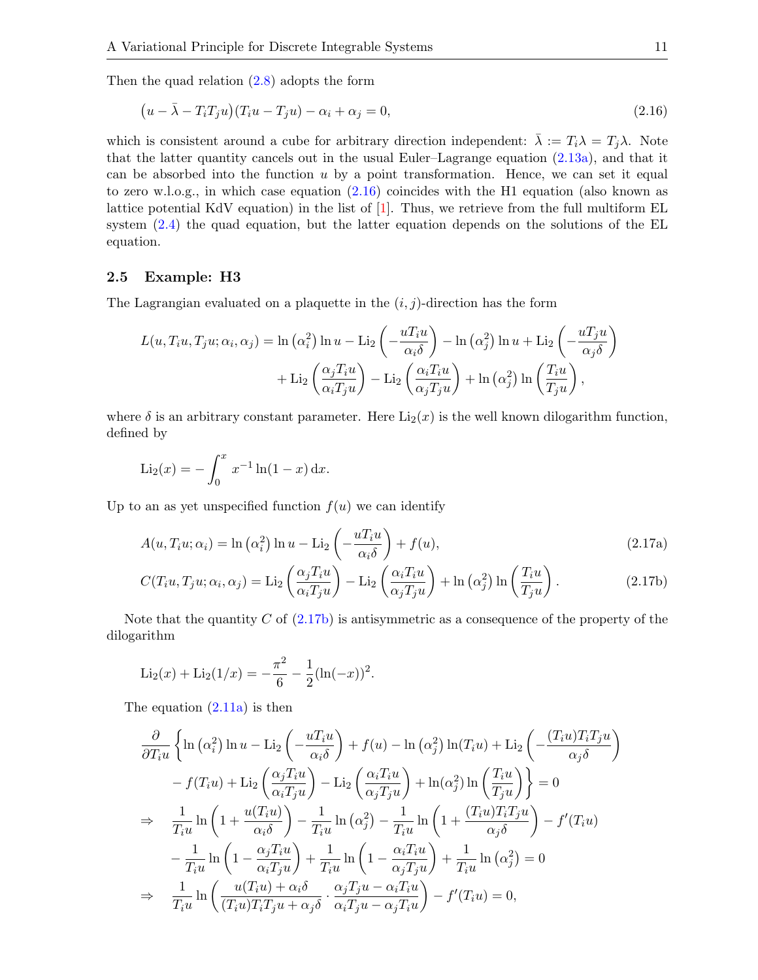Then the quad relation [\(2.8\)](#page-7-3) adopts the form

<span id="page-10-0"></span>
$$
(u - \bar{\lambda} - T_i T_j u)(T_i u - T_j u) - \alpha_i + \alpha_j = 0,
$$
\n(2.16)

which is consistent around a cube for arbitrary direction independent:  $\bar{\lambda} := T_i \lambda = T_j \lambda$ . Note that the latter quantity cancels out in the usual Euler–Lagrange equation [\(2.13a\)](#page-9-4), and that it can be absorbed into the function  $u$  by a point transformation. Hence, we can set it equal to zero w.l.o.g., in which case equation  $(2.16)$  coincides with the H1 equation (also known as lattice potential KdV equation) in the list of  $[1]$ . Thus, we retrieve from the full multiform EL system  $(2.4)$  the quad equation, but the latter equation depends on the solutions of the EL equation.

### 2.5 Example: H3

The Lagrangian evaluated on a plaquette in the  $(i, j)$ -direction has the form

$$
L(u, T_i u, T_j u; \alpha_i, \alpha_j) = \ln(\alpha_i^2) \ln u - \text{Li}_2\left(-\frac{u T_i u}{\alpha_i \delta}\right) - \ln(\alpha_j^2) \ln u + \text{Li}_2\left(-\frac{u T_j u}{\alpha_j \delta}\right) + \text{Li}_2\left(\frac{\alpha_j T_i u}{\alpha_i T_j u}\right) - \text{Li}_2\left(\frac{\alpha_i T_i u}{\alpha_j T_j u}\right) + \ln(\alpha_j^2) \ln\left(\frac{T_i u}{T_j u}\right),
$$

where  $\delta$  is an arbitrary constant parameter. Here  $\text{Li}_2(x)$  is the well known dilogarithm function, defined by

$$
\text{Li}_2(x) = -\int_0^x x^{-1} \ln(1-x) \, \mathrm{d}x.
$$

Up to an as yet unspecified function  $f(u)$  we can identify

$$
A(u, T_i u; \alpha_i) = \ln(\alpha_i^2) \ln u - \text{Li}_2\left(-\frac{u T_i u}{\alpha_i \delta}\right) + f(u), \qquad (2.17a)
$$

<span id="page-10-1"></span>
$$
C(T_i u, T_j u; \alpha_i, \alpha_j) = \text{Li}_2\left(\frac{\alpha_j T_i u}{\alpha_i T_j u}\right) - \text{Li}_2\left(\frac{\alpha_i T_i u}{\alpha_j T_j u}\right) + \ln\left(\alpha_j^2\right) \ln\left(\frac{T_i u}{T_j u}\right). \tag{2.17b}
$$

Note that the quantity C of  $(2.17b)$  is antisymmetric as a consequence of the property of the dilogarithm

$$
\text{Li}_2(x) + \text{Li}_2(1/x) = -\frac{\pi^2}{6} - \frac{1}{2}(\ln(-x))^2.
$$

The equation [\(2.11a\)](#page-8-4) is then

$$
\frac{\partial}{\partial T_i u} \left\{ \ln (\alpha_i^2) \ln u - \text{Li}_2 \left( -\frac{u T_i u}{\alpha_i \delta} \right) + f(u) - \ln (\alpha_j^2) \ln(T_i u) + \text{Li}_2 \left( -\frac{(T_i u) T_i T_j u}{\alpha_j \delta} \right) \right\} \n- f(T_i u) + \text{Li}_2 \left( \frac{\alpha_j T_i u}{\alpha_i T_j u} \right) - \text{Li}_2 \left( \frac{\alpha_i T_i u}{\alpha_j T_j u} \right) + \ln (\alpha_j^2) \ln \left( \frac{T_i u}{T_j u} \right) \right\} = 0 \n\Rightarrow \frac{1}{T_i u} \ln \left( 1 + \frac{u(T_i u)}{\alpha_i \delta} \right) - \frac{1}{T_i u} \ln (\alpha_j^2) - \frac{1}{T_i u} \ln \left( 1 + \frac{(T_i u) T_i T_j u}{\alpha_j \delta} \right) - f'(T_i u) \n- \frac{1}{T_i u} \ln \left( 1 - \frac{\alpha_j T_i u}{\alpha_i T_j u} \right) + \frac{1}{T_i u} \ln \left( 1 - \frac{\alpha_i T_i u}{\alpha_j T_j u} \right) + \frac{1}{T_i u} \ln (\alpha_j^2) = 0 \n\Rightarrow \frac{1}{T_i u} \ln \left( \frac{u(T_i u) + \alpha_i \delta}{(T_i u) T_i T_j u + \alpha_j \delta} \cdot \frac{\alpha_j T_j u - \alpha_i T_i u}{\alpha_i T_j u - \alpha_j T_i u} \right) - f'(T_i u) = 0,
$$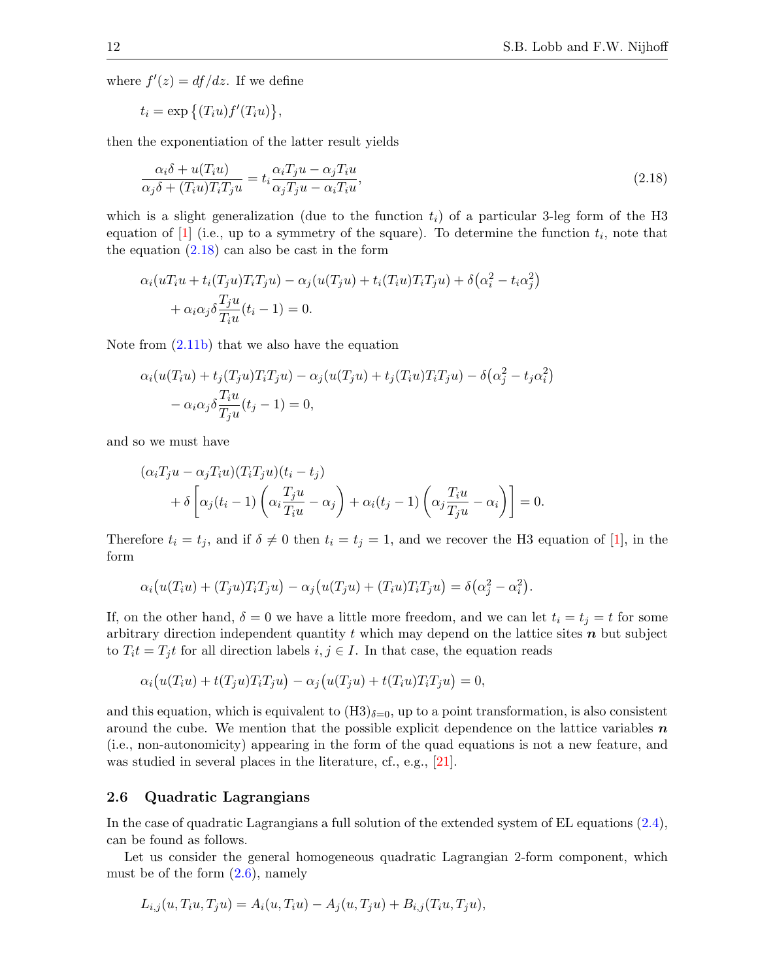where  $f'(z) = df/dz$ . If we define

$$
t_i = \exp\left\{ (T_i u) f'(T_i u) \right\},\
$$

then the exponentiation of the latter result yields

<span id="page-11-0"></span>
$$
\frac{\alpha_i \delta + u(T_i u)}{\alpha_j \delta + (T_i u) T_i T_j u} = t_i \frac{\alpha_i T_j u - \alpha_j T_i u}{\alpha_j T_j u - \alpha_i T_i u},\tag{2.18}
$$

which is a slight generalization (due to the function  $t_i$ ) of a particular 3-leg form of the H3 equation of  $[1]$  (i.e., up to a symmetry of the square). To determine the function  $t_i$ , note that the equation  $(2.18)$  can also be cast in the form

$$
\alpha_i(uT_iu + t_i(T_ju)T_iT_ju) - \alpha_j(u(T_ju) + t_i(T_iu)T_iT_ju) + \delta(\alpha_i^2 - t_i\alpha_j^2)
$$

$$
+ \alpha_i\alpha_j\delta\frac{T_ju}{T_iu}(t_i - 1) = 0.
$$

Note from [\(2.11b\)](#page-8-5) that we also have the equation

$$
\alpha_i(u(T_iu) + t_j(T_ju)T_iT_ju) - \alpha_j(u(T_ju) + t_j(T_iu)T_iT_ju) - \delta(\alpha_j^2 - t_j\alpha_i^2)
$$

$$
-\alpha_i\alpha_j\delta\frac{T_iu}{T_ju}(t_j - 1) = 0,
$$

and so we must have

$$
(\alpha_i T_j u - \alpha_j T_i u)(T_i T_j u)(t_i - t_j)
$$
  
+  $\delta \left[ \alpha_j (t_i - 1) \left( \alpha_i \frac{T_j u}{T_i u} - \alpha_j \right) + \alpha_i (t_j - 1) \left( \alpha_j \frac{T_i u}{T_j u} - \alpha_i \right) \right] = 0.$ 

Therefore  $t_i = t_j$ , and if  $\delta \neq 0$  then  $t_i = t_j = 1$ , and we recover the H3 equation of [\[1\]](#page-16-1), in the form

$$
\alpha_i(u(T_iu) + (T_ju)T_iT_ju) - \alpha_j(u(T_ju) + (T_iu)T_iT_ju) = \delta(\alpha_j^2 - \alpha_i^2).
$$

If, on the other hand,  $\delta = 0$  we have a little more freedom, and we can let  $t_i = t_j = t$  for some arbitrary direction independent quantity t which may depend on the lattice sites  $n$  but subject to  $T_i t = T_j t$  for all direction labels  $i, j \in I$ . In that case, the equation reads

$$
\alpha_i\big(u(T_iu) + t(T_ju)T_iT_ju\big) - \alpha_j\big(u(T_ju) + t(T_iu)T_iT_ju\big) = 0,
$$

and this equation, which is equivalent to  $(H3)_{\delta=0}$ , up to a point transformation, is also consistent around the cube. We mention that the possible explicit dependence on the lattice variables  $n$ (i.e., non-autonomicity) appearing in the form of the quad equations is not a new feature, and was studied in several places in the literature, cf., e.g., [\[21\]](#page-17-18).

## 2.6 Quadratic Lagrangians

In the case of quadratic Lagrangians a full solution of the extended system of EL equations [\(2.4\)](#page-4-3), can be found as follows.

Let us consider the general homogeneous quadratic Lagrangian 2-form component, which must be of the form  $(2.6)$ , namely

$$
L_{i,j}(u, T_i u, T_j u) = A_i(u, T_i u) - A_j(u, T_j u) + B_{i,j}(T_i u, T_j u),
$$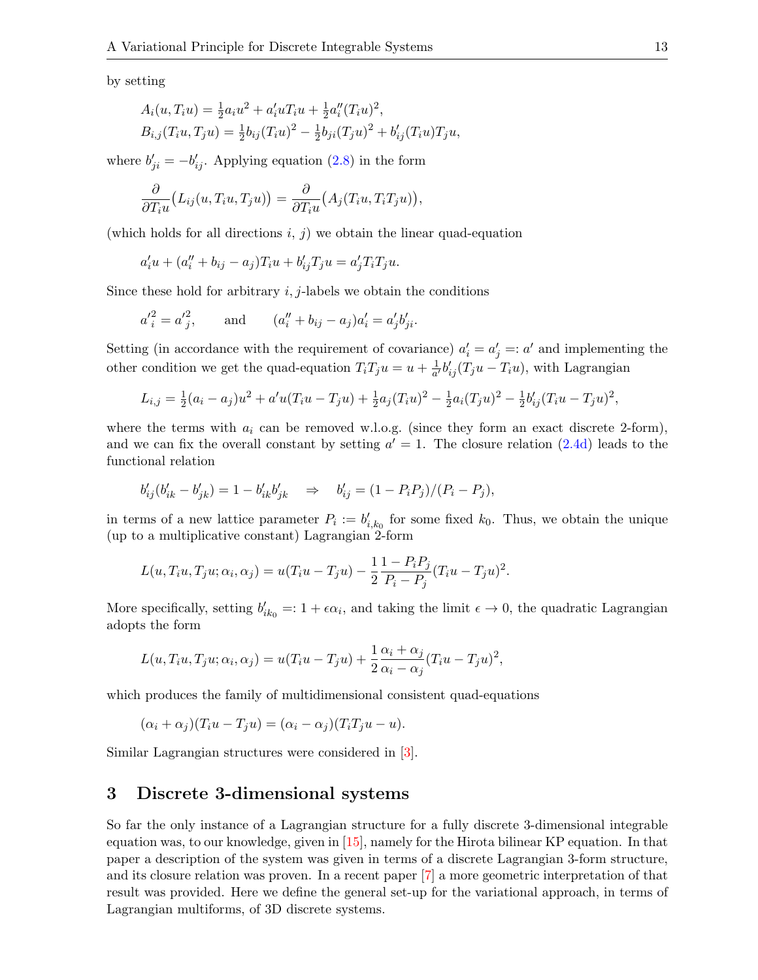by setting

$$
A_i(u, T_i u) = \frac{1}{2} a_i u^2 + a'_i u T_i u + \frac{1}{2} a''_i (T_i u)^2,
$$
  
\n
$$
B_{i,j}(T_i u, T_j u) = \frac{1}{2} b_{ij}(T_i u)^2 - \frac{1}{2} b_{ji}(T_j u)^2 + b'_{ij}(T_i u) T_j u,
$$

where  $b'_{ji} = -b'_{ij}$ . Applying equation [\(2.8\)](#page-7-3) in the form

$$
\frac{\partial}{\partial T_i u}(L_{ij}(u, T_i u, T_j u)) = \frac{\partial}{\partial T_i u}(A_j(T_i u, T_i T_j u)),
$$

(which holds for all directions  $i, j$ ) we obtain the linear quad-equation

$$
a_i'u + (a_i'' + b_{ij} - a_j)T_iu + b_{ij}'T_ju = a_j'T_iT_ju.
$$

Since these hold for arbitrary  $i, j$ -labels we obtain the conditions

$$
a'_i = a'_j
$$
, and  $(a''_i + b_{ij} - a_j)a'_i = a'_jb'_{ji}$ .

Setting (in accordance with the requirement of covariance)  $a'_i = a'_j =: a'$  and implementing the other condition we get the quad-equation  $T_i T_j u = u + \frac{1}{a'}$  $\frac{1}{a'}b'_{ij}(T_ju-T_iu)$ , with Lagrangian

$$
L_{i,j} = \frac{1}{2}(a_i - a_j)u^2 + a'u(T_iu - T_ju) + \frac{1}{2}a_j(T_iu)^2 - \frac{1}{2}a_i(T_ju)^2 - \frac{1}{2}b'_{ij}(T_iu - T_ju)^2,
$$

where the terms with  $a_i$  can be removed w.l.o.g. (since they form an exact discrete 2-form), and we can fix the overall constant by setting  $a' = 1$ . The closure relation [\(2.4d\)](#page-5-2) leads to the functional relation

$$
b'_{ij}(b'_{ik} - b'_{jk}) = 1 - b'_{ik}b'_{jk} \quad \Rightarrow \quad b'_{ij} = (1 - P_i P_j)/(P_i - P_j),
$$

in terms of a new lattice parameter  $P_i := b'_{i,k_0}$  for some fixed  $k_0$ . Thus, we obtain the unique (up to a multiplicative constant) Lagrangian 2-form

$$
L(u, T_i u, T_j u; \alpha_i, \alpha_j) = u(T_i u - T_j u) - \frac{1}{2} \frac{1 - P_i P_j}{P_i - P_j} (T_i u - T_j u)^2.
$$

More specifically, setting  $b'_{ik_0} = 1 + \epsilon \alpha_i$ , and taking the limit  $\epsilon \to 0$ , the quadratic Lagrangian adopts the form

$$
L(u, T_iu, T_ju; \alpha_i, \alpha_j) = u(T_iu - T_ju) + \frac{1}{2}\frac{\alpha_i + \alpha_j}{\alpha_i - \alpha_j}(T_iu - T_ju)^2,
$$

which produces the family of multidimensional consistent quad-equations

$$
(\alpha_i + \alpha_j)(T_i u - T_j u) = (\alpha_i - \alpha_j)(T_i T_j u - u).
$$

Similar Lagrangian structures were considered in [\[3\]](#page-16-5).

# <span id="page-12-0"></span>3 Discrete 3-dimensional systems

So far the only instance of a Lagrangian structure for a fully discrete 3-dimensional integrable equation was, to our knowledge, given in [\[15\]](#page-17-9), namely for the Hirota bilinear KP equation. In that paper a description of the system was given in terms of a discrete Lagrangian 3-form structure, and its closure relation was proven. In a recent paper [\[7\]](#page-16-6) a more geometric interpretation of that result was provided. Here we define the general set-up for the variational approach, in terms of Lagrangian multiforms, of 3D discrete systems.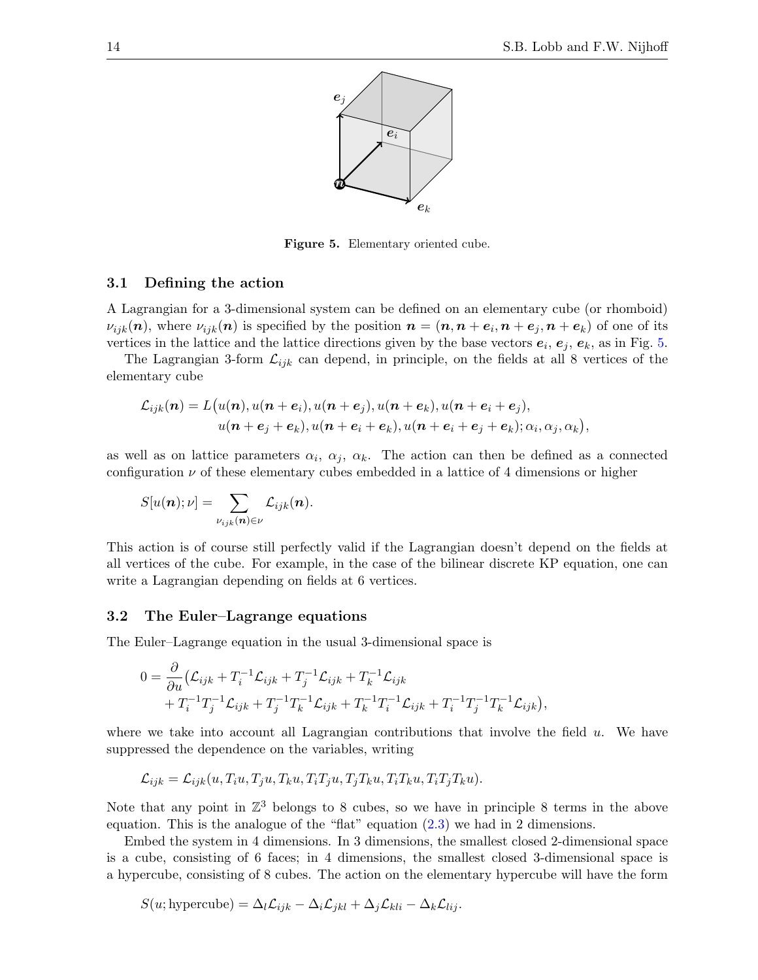

<span id="page-13-0"></span>Figure 5. Elementary oriented cube.

#### 3.1 Defining the action

A Lagrangian for a 3-dimensional system can be defined on an elementary cube (or rhomboid)  $\nu_{ijk}(n)$ , where  $\nu_{ijk}(n)$  is specified by the position  $\bm{n}=(\bm{n},\bm{n}+\bm{e}_i,\bm{n}+\bm{e}_j,\bm{n}+\bm{e}_k)$  of one of its vertices in the lattice and the lattice directions given by the base vectors  $e_i, e_j, e_k$ , as in Fig. [5.](#page-13-0)

The Lagrangian 3-form  $\mathcal{L}_{ijk}$  can depend, in principle, on the fields at all 8 vertices of the elementary cube

$$
\mathcal{L}_{ijk}(\boldsymbol{n}) = L(u(\boldsymbol{n}), u(\boldsymbol{n}+\boldsymbol{e}_i), u(\boldsymbol{n}+\boldsymbol{e}_j), u(\boldsymbol{n}+\boldsymbol{e}_k), u(\boldsymbol{n}+\boldsymbol{e}_i+\boldsymbol{e}_j),
$$
  

$$
u(\boldsymbol{n}+\boldsymbol{e}_j+\boldsymbol{e}_k), u(\boldsymbol{n}+\boldsymbol{e}_i+\boldsymbol{e}_k), u(\boldsymbol{n}+\boldsymbol{e}_i+\boldsymbol{e}_j+\boldsymbol{e}_k); \alpha_i, \alpha_j, \alpha_k),
$$

as well as on lattice parameters  $\alpha_i$ ,  $\alpha_j$ ,  $\alpha_k$ . The action can then be defined as a connected configuration  $\nu$  of these elementary cubes embedded in a lattice of 4 dimensions or higher

$$
S[u(\boldsymbol{n});\nu]=\sum_{\nu_{ijk}(\boldsymbol{n})\in\nu}\mathcal{L}_{ijk}(\boldsymbol{n}).
$$

This action is of course still perfectly valid if the Lagrangian doesn't depend on the fields at all vertices of the cube. For example, in the case of the bilinear discrete KP equation, one can write a Lagrangian depending on fields at 6 vertices.

#### 3.2 The Euler–Lagrange equations

The Euler–Lagrange equation in the usual 3-dimensional space is

$$
0 = \frac{\partial}{\partial u} (\mathcal{L}_{ijk} + T_i^{-1} \mathcal{L}_{ijk} + T_j^{-1} \mathcal{L}_{ijk} + T_k^{-1} \mathcal{L}_{ijk} + T_i^{-1} T_j^{-1} \mathcal{L}_{ijk} + T_j^{-1} T_k^{-1} \mathcal{L}_{ijk} + T_k^{-1} T_i^{-1} \mathcal{L}_{ijk} + T_i^{-1} T_j^{-1} T_k^{-1} \mathcal{L}_{ijk}),
$$

where we take into account all Lagrangian contributions that involve the field  $u$ . We have suppressed the dependence on the variables, writing

$$
\mathcal{L}_{ijk} = \mathcal{L}_{ijk}(u, T_iu, T_ju, T_ku, T_iT_ju, T_jT_ku, T_iT_ku, T_iT_jT_ku).
$$

Note that any point in  $\mathbb{Z}^3$  belongs to 8 cubes, so we have in principle 8 terms in the above equation. This is the analogue of the "flat" equation  $(2.3)$  we had in 2 dimensions.

Embed the system in 4 dimensions. In 3 dimensions, the smallest closed 2-dimensional space is a cube, consisting of 6 faces; in 4 dimensions, the smallest closed 3-dimensional space is a hypercube, consisting of 8 cubes. The action on the elementary hypercube will have the form

$$
S(u; \text{hypercube}) = \Delta_l \mathcal{L}_{ijk} - \Delta_i \mathcal{L}_{jkl} + \Delta_j \mathcal{L}_{kli} - \Delta_k \mathcal{L}_{lij}.
$$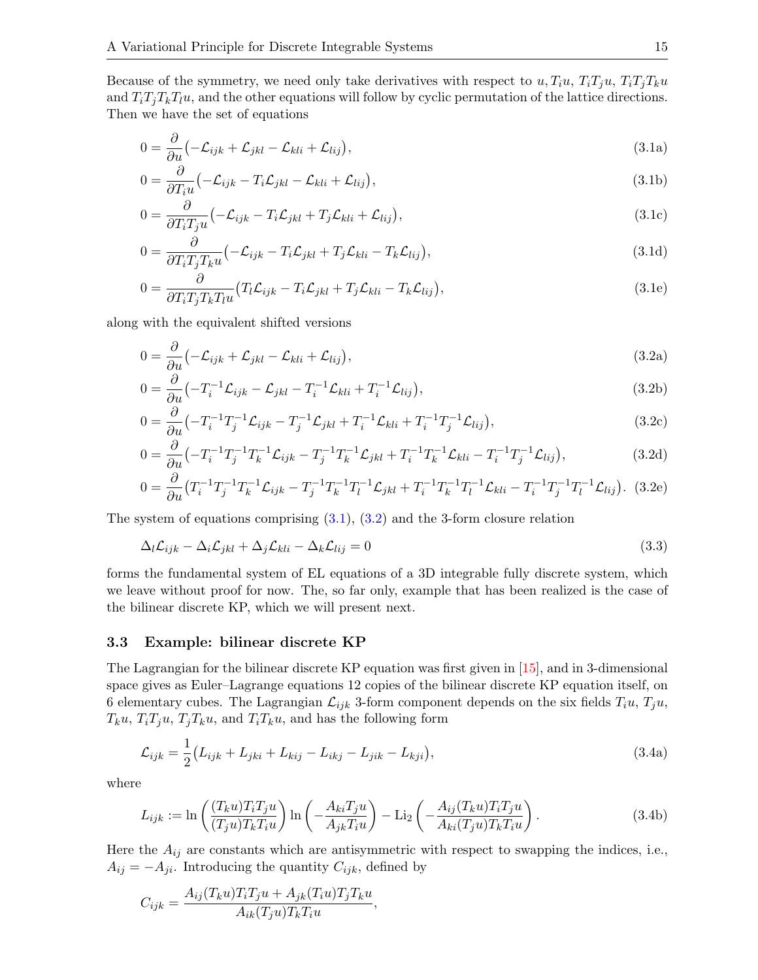Because of the symmetry, we need only take derivatives with respect to  $u, T_iu, T_iT_ju, T_iT_jT_ku$ and  $T_iT_jT_kT_lu$ , and the other equations will follow by cyclic permutation of the lattice directions. Then we have the set of equations

<span id="page-14-3"></span><span id="page-14-0"></span>
$$
0 = \frac{\partial}{\partial u} \left( -\mathcal{L}_{ijk} + \mathcal{L}_{jkl} - \mathcal{L}_{kli} + \mathcal{L}_{lij} \right),\tag{3.1a}
$$

$$
0 = \frac{\partial}{\partial T_i u} \left( -\mathcal{L}_{ijk} - T_i \mathcal{L}_{jkl} - \mathcal{L}_{kli} + \mathcal{L}_{lij} \right),\tag{3.1b}
$$

<span id="page-14-5"></span>
$$
0 = \frac{\partial}{\partial T_i T_j u} \left( -\mathcal{L}_{ijk} - T_i \mathcal{L}_{jkl} + T_j \mathcal{L}_{kli} + \mathcal{L}_{lij} \right),\tag{3.1c}
$$

<span id="page-14-6"></span>
$$
0 = \frac{\partial}{\partial T_i T_j T_k u} \left( -\mathcal{L}_{ijk} - T_i \mathcal{L}_{jkl} + T_j \mathcal{L}_{kli} - T_k \mathcal{L}_{lij} \right),\tag{3.1d}
$$

<span id="page-14-4"></span><span id="page-14-1"></span>
$$
0 = \frac{\partial}{\partial T_i T_j T_k T_l u} \left( T_l \mathcal{L}_{ijk} - T_i \mathcal{L}_{jkl} + T_j \mathcal{L}_{kli} - T_k \mathcal{L}_{lij} \right),\tag{3.1e}
$$

along with the equivalent shifted versions

$$
0 = \frac{\partial}{\partial u} \left( -\mathcal{L}_{ijk} + \mathcal{L}_{jkl} - \mathcal{L}_{kli} + \mathcal{L}_{lij} \right),\tag{3.2a}
$$

$$
0 = \frac{\partial}{\partial u} \left( -T_i^{-1} \mathcal{L}_{ijk} - \mathcal{L}_{jkl} - T_i^{-1} \mathcal{L}_{kli} + T_i^{-1} \mathcal{L}_{lij} \right),\tag{3.2b}
$$

$$
0 = \frac{\partial}{\partial u} \left( -T_i^{-1} T_j^{-1} \mathcal{L}_{ijk} - T_j^{-1} \mathcal{L}_{jkl} + T_i^{-1} \mathcal{L}_{kli} + T_i^{-1} T_j^{-1} \mathcal{L}_{lij} \right),\tag{3.2c}
$$

$$
0 = \frac{\partial}{\partial u} \left( -T_i^{-1} T_j^{-1} T_k^{-1} \mathcal{L}_{ijk} - T_j^{-1} T_k^{-1} \mathcal{L}_{jkl} + T_i^{-1} T_k^{-1} \mathcal{L}_{kli} - T_i^{-1} T_j^{-1} \mathcal{L}_{lij} \right),\tag{3.2d}
$$

$$
0 = \frac{\partial}{\partial u} \left( T_i^{-1} T_j^{-1} T_k^{-1} \mathcal{L}_{ijk} - T_j^{-1} T_k^{-1} T_l^{-1} \mathcal{L}_{jkl} + T_i^{-1} T_k^{-1} T_l^{-1} \mathcal{L}_{kli} - T_i^{-1} T_j^{-1} T_l^{-1} \mathcal{L}_{lij} \right). (3.2e)
$$

The system of equations comprising  $(3.1)$ ,  $(3.2)$  and the 3-form closure relation

<span id="page-14-7"></span>
$$
\Delta_l \mathcal{L}_{ijk} - \Delta_i \mathcal{L}_{jkl} + \Delta_j \mathcal{L}_{kli} - \Delta_k \mathcal{L}_{lij} = 0
$$
\n(3.3)

forms the fundamental system of EL equations of a 3D integrable fully discrete system, which we leave without proof for now. The, so far only, example that has been realized is the case of the bilinear discrete KP, which we will present next.

## 3.3 Example: bilinear discrete KP

The Lagrangian for the bilinear discrete KP equation was first given in [\[15\]](#page-17-9), and in 3-dimensional space gives as Euler–Lagrange equations 12 copies of the bilinear discrete KP equation itself, on 6 elementary cubes. The Lagrangian  $\mathcal{L}_{ijk}$  3-form component depends on the six fields  $T_i u$ ,  $T_j u$ ,  $T_ku$ ,  $T_iT_ju$ ,  $T_jT_ku$ , and  $T_iT_ku$ , and has the following form

<span id="page-14-2"></span>
$$
\mathcal{L}_{ijk} = \frac{1}{2} (L_{ijk} + L_{jki} + L_{kij} - L_{ikj} - L_{jik} - L_{kji}),
$$
\n(3.4a)

where

$$
L_{ijk} := \ln\left(\frac{(T_k u)T_i T_j u}{(T_j u)T_k T_i u}\right) \ln\left(-\frac{A_{ki} T_j u}{A_{jk} T_i u}\right) - \text{Li}_2\left(-\frac{A_{ij} (T_k u)T_i T_j u}{A_{ki} (T_j u)T_k T_i u}\right). \tag{3.4b}
$$

Here the  $A_{ij}$  are constants which are antisymmetric with respect to swapping the indices, i.e.,  $A_{ij} = -A_{ji}$ . Introducing the quantity  $C_{ijk}$ , defined by

$$
C_{ijk} = \frac{A_{ij}(T_{k}u)T_{i}T_{j}u + A_{jk}(T_{i}u)T_{j}T_{k}u}{A_{ik}(T_{j}u)T_{k}T_{i}u},
$$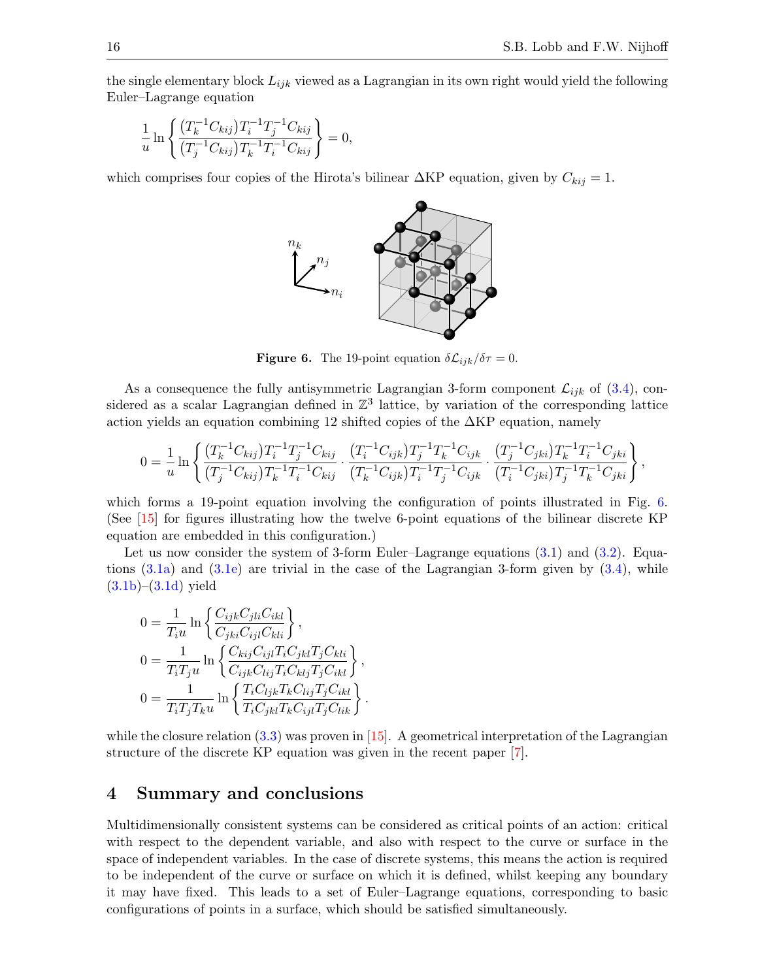,

the single elementary block  $L_{ijk}$  viewed as a Lagrangian in its own right would yield the following Euler–Lagrange equation

$$
\frac{1}{u} \ln \left\{ \frac{\left(T_k^{-1} C_{kij}\right) T_i^{-1} T_j^{-1} C_{kij}}{\left(T_j^{-1} C_{kij}\right) T_k^{-1} T_i^{-1} C_{kij}} \right\} = 0,
$$

which comprises four copies of the Hirota's bilinear  $\Delta KP$  equation, given by  $C_{kij} = 1$ .



<span id="page-15-1"></span>**Figure 6.** The 19-point equation  $\delta \mathcal{L}_{ijk}/\delta \tau = 0$ .

As a consequence the fully antisymmetric Lagrangian 3-form component  $\mathcal{L}_{ijk}$  of [\(3.4\)](#page-14-2), considered as a scalar Lagrangian defined in  $\mathbb{Z}^3$  lattice, by variation of the corresponding lattice action yields an equation combining 12 shifted copies of the  $\Delta KP$  equation, namely

$$
0 = \frac{1}{u} \ln \left\{ \frac{(T_k^{-1} C_{kij}) T_i^{-1} T_j^{-1} C_{kij}}{(T_j^{-1} C_{kij}) T_k^{-1} T_i^{-1} C_{kij}} \cdot \frac{(T_i^{-1} C_{ijk}) T_j^{-1} T_k^{-1} C_{ijk}}{(T_k^{-1} C_{ijk}) T_i^{-1} T_j^{-1} C_{ijk}} \cdot \frac{(T_j^{-1} C_{jki}) T_k^{-1} T_i^{-1} C_{jki}}{(T_i^{-1} C_{jki}) T_j^{-1} T_k^{-1} C_{jki}} \right\}
$$

which forms a 19-point equation involving the configuration of points illustrated in Fig. [6.](#page-15-1) (See [\[15\]](#page-17-9) for figures illustrating how the twelve 6-point equations of the bilinear discrete KP equation are embedded in this configuration.)

Let us now consider the system of 3-form Euler–Lagrange equations  $(3.1)$  and  $(3.2)$ . Equations  $(3.1a)$  and  $(3.1e)$  are trivial in the case of the Lagrangian 3-form given by  $(3.4)$ , while  $(3.1b)–(3.1d)$  $(3.1b)–(3.1d)$  $(3.1b)–(3.1d)$  yield

$$
0 = \frac{1}{T_i u} \ln \left\{ \frac{C_{ijk} C_{jli} C_{ikl}}{C_{jki} C_{ijl} C_{kli}} \right\},
$$
  
\n
$$
0 = \frac{1}{T_i T_j u} \ln \left\{ \frac{C_{kij} C_{ijl} T_i C_{jkl} T_j C_{kli}}{C_{ijk} C_{lij} T_i C_{klj} T_j C_{ikl}} \right\},
$$
  
\n
$$
0 = \frac{1}{T_i T_j T_k u} \ln \left\{ \frac{T_i C_{ljk} T_k C_{lij} T_j C_{ikl}}{T_i C_{jkl} T_k C_{ijl} T_j C_{lik}} \right\}.
$$

while the closure relation  $(3.3)$  was proven in [\[15\]](#page-17-9). A geometrical interpretation of the Lagrangian structure of the discrete KP equation was given in the recent paper [\[7\]](#page-16-6).

# <span id="page-15-0"></span>4 Summary and conclusions

Multidimensionally consistent systems can be considered as critical points of an action: critical with respect to the dependent variable, and also with respect to the curve or surface in the space of independent variables. In the case of discrete systems, this means the action is required to be independent of the curve or surface on which it is defined, whilst keeping any boundary it may have fixed. This leads to a set of Euler–Lagrange equations, corresponding to basic configurations of points in a surface, which should be satisfied simultaneously.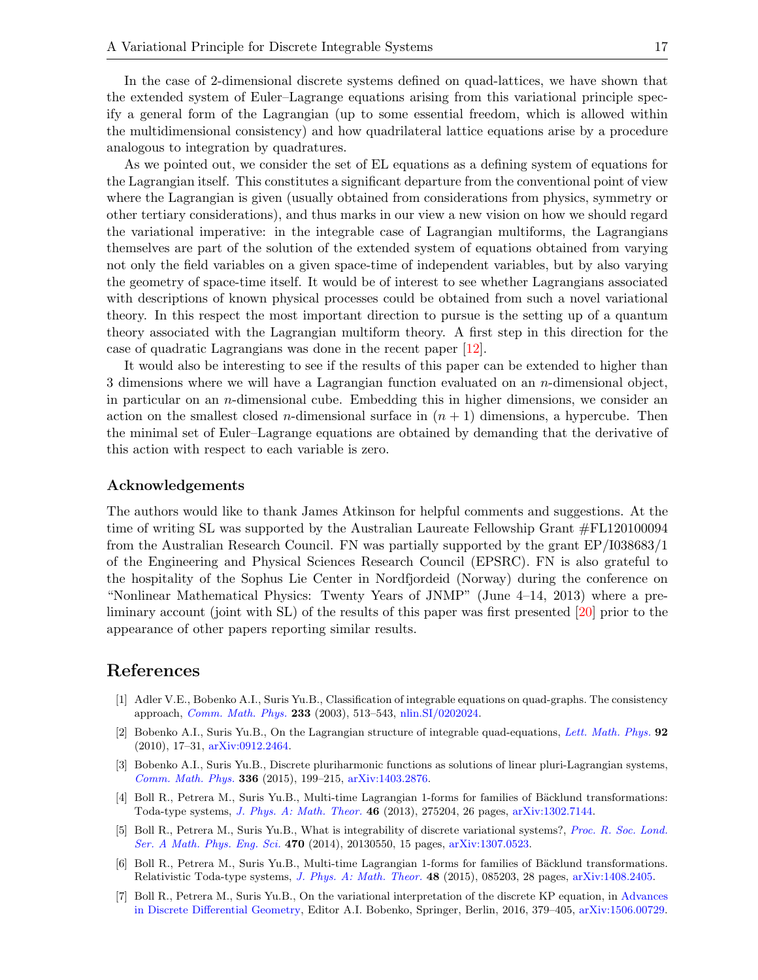In the case of 2-dimensional discrete systems defined on quad-lattices, we have shown that the extended system of Euler–Lagrange equations arising from this variational principle specify a general form of the Lagrangian (up to some essential freedom, which is allowed within the multidimensional consistency) and how quadrilateral lattice equations arise by a procedure analogous to integration by quadratures.

As we pointed out, we consider the set of EL equations as a defining system of equations for the Lagrangian itself. This constitutes a significant departure from the conventional point of view where the Lagrangian is given (usually obtained from considerations from physics, symmetry or other tertiary considerations), and thus marks in our view a new vision on how we should regard the variational imperative: in the integrable case of Lagrangian multiforms, the Lagrangians themselves are part of the solution of the extended system of equations obtained from varying not only the field variables on a given space-time of independent variables, but by also varying the geometry of space-time itself. It would be of interest to see whether Lagrangians associated with descriptions of known physical processes could be obtained from such a novel variational theory. In this respect the most important direction to pursue is the setting up of a quantum theory associated with the Lagrangian multiform theory. A first step in this direction for the case of quadratic Lagrangians was done in the recent paper [\[12\]](#page-17-19).

It would also be interesting to see if the results of this paper can be extended to higher than 3 dimensions where we will have a Lagrangian function evaluated on an n-dimensional object, in particular on an  $n$ -dimensional cube. Embedding this in higher dimensions, we consider an action on the smallest closed *n*-dimensional surface in  $(n + 1)$  dimensions, a hypercube. Then the minimal set of Euler–Lagrange equations are obtained by demanding that the derivative of this action with respect to each variable is zero.

#### Acknowledgements

The authors would like to thank James Atkinson for helpful comments and suggestions. At the time of writing SL was supported by the Australian Laureate Fellowship Grant #FL120100094 from the Australian Research Council. FN was partially supported by the grant EP/I038683/1 of the Engineering and Physical Sciences Research Council (EPSRC). FN is also grateful to the hospitality of the Sophus Lie Center in Nordfjordeid (Norway) during the conference on "Nonlinear Mathematical Physics: Twenty Years of JNMP" (June 4–14, 2013) where a preliminary account (joint with SL) of the results of this paper was first presented [\[20\]](#page-17-15) prior to the appearance of other papers reporting similar results.

# References

- <span id="page-16-1"></span>[1] Adler V.E., Bobenko A.I., Suris Yu.B., Classification of integrable equations on quad-graphs. The consistency approach, [Comm. Math. Phys.](https://doi.org/10.1007/s00220-002-0762-8) 233 (2003), 513–543, [nlin.SI/0202024.](https://arxiv.org/abs/nlin.SI/0202024)
- <span id="page-16-0"></span>[2] Bobenko A.I., Suris Yu.B., On the Lagrangian structure of integrable quad-equations, [Lett. Math. Phys.](https://doi.org/10.1007/s11005-010-0381-9) 92 (2010), 17–31, [arXiv:0912.2464.](https://arxiv.org/abs/0912.2464)
- <span id="page-16-5"></span>[3] Bobenko A.I., Suris Yu.B., Discrete pluriharmonic functions as solutions of linear pluri-Lagrangian systems, [Comm. Math. Phys.](https://doi.org/10.1007/s00220-014-2240-5) 336 (2015), 199–215, [arXiv:1403.2876.](https://arxiv.org/abs/1403.2876)
- <span id="page-16-2"></span>[4] Boll R., Petrera M., Suris Yu.B., Multi-time Lagrangian 1-forms for families of Bäcklund transformations: Toda-type systems, [J. Phys. A: Math. Theor.](https://doi.org/10.1088/1751-8113/46/27/275204) 46 (2013), 275204, 26 pages, [arXiv:1302.7144.](https://arxiv.org/abs/1302.7144)
- <span id="page-16-4"></span>[5] Boll R., Petrera M., Suris Yu.B., What is integrability of discrete variational systems?, [Proc. R. Soc. Lond.](https://doi.org/10.1098/rspa.2013.0550) [Ser. A Math. Phys. Eng. Sci.](https://doi.org/10.1098/rspa.2013.0550) 470 (2014), 20130550, 15 pages, [arXiv:1307.0523.](https://arxiv.org/abs/1307.0523)
- <span id="page-16-3"></span>[6] Boll R., Petrera M., Suris Yu.B., Multi-time Lagrangian 1-forms for families of Bäcklund transformations. Relativistic Toda-type systems, [J. Phys. A: Math. Theor.](https://doi.org/10.1088/1751-8113/48/8/085203) 48 (2015), 085203, 28 pages, [arXiv:1408.2405.](https://arxiv.org/abs/1408.2405)
- <span id="page-16-6"></span>[7] Boll R., Petrera M., Suris Yu.B., On the variational interpretation of the discrete KP equation, in [Advances](https://doi.org/10.1007/978-3-662-50447-5_12) [in Discrete Differential Geometry,](https://doi.org/10.1007/978-3-662-50447-5_12) Editor A.I. Bobenko, Springer, Berlin, 2016, 379–405, [arXiv:1506.00729.](https://arxiv.org/abs/1506.00729)